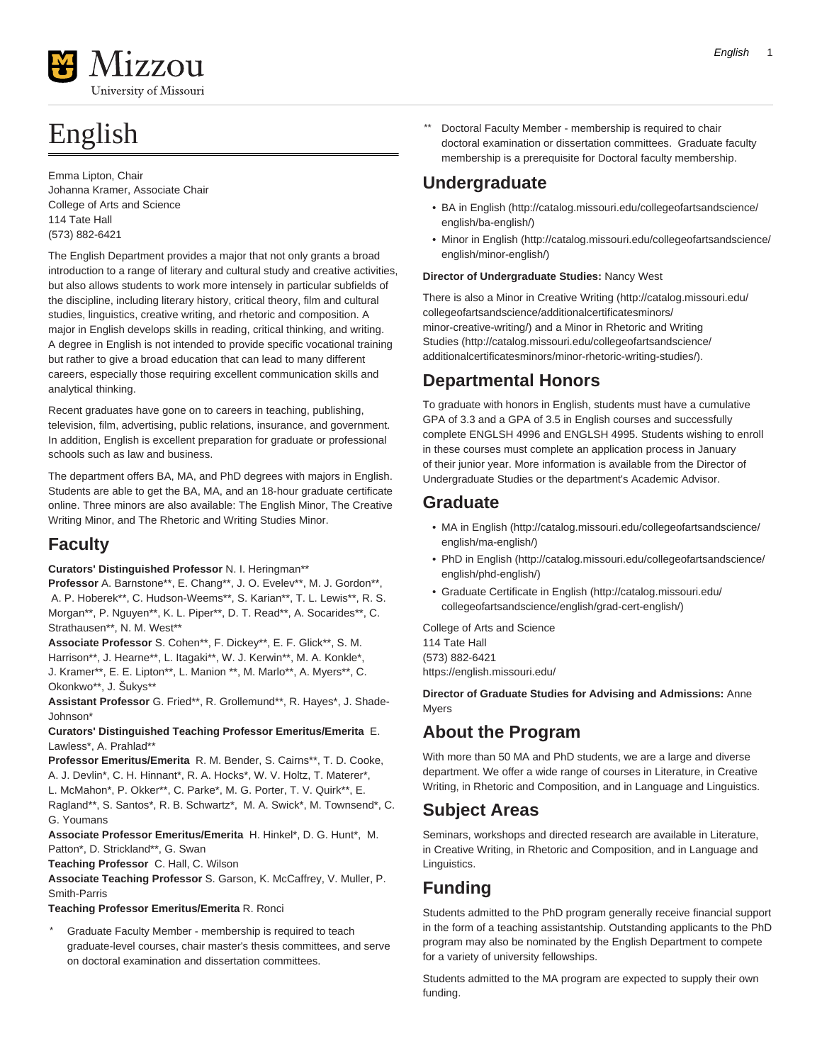

# English

Emma Lipton, Chair Johanna Kramer, Associate Chair College of Arts and Science 114 Tate Hall (573) 882-6421

The English Department provides a major that not only grants a broad introduction to a range of literary and cultural study and creative activities, but also allows students to work more intensely in particular subfields of the discipline, including literary history, critical theory, film and cultural studies, linguistics, creative writing, and rhetoric and composition. A major in English develops skills in reading, critical thinking, and writing. A degree in English is not intended to provide specific vocational training but rather to give a broad education that can lead to many different careers, especially those requiring excellent communication skills and analytical thinking.

Recent graduates have gone on to careers in teaching, publishing, television, film, advertising, public relations, insurance, and government. In addition, English is excellent preparation for graduate or professional schools such as law and business.

The department offers BA, MA, and PhD degrees with majors in English. Students are able to get the BA, MA, and an 18-hour graduate certificate online. Three minors are also available: The English Minor, The Creative Writing Minor, and The Rhetoric and Writing Studies Minor.

# **Faculty**

**Curators' Distinguished Professor** N. I. Heringman\*\*

**Professor** A. Barnstone\*\*, E. Chang\*\*, J. O. Evelev\*\*, M. J. Gordon\*\*, A. P. Hoberek\*\*, C. Hudson-Weems\*\*, S. Karian\*\*, T. L. Lewis\*\*, R. S. Morgan\*\*, P. Nguyen\*\*, K. L. Piper\*\*, D. T. Read\*\*, A. Socarides\*\*, C. Strathausen\*\*, N. M. West\*\*

**Associate Professor** S. Cohen\*\*, F. Dickey\*\*, E. F. Glick\*\*, S. M. Harrison\*\*, J. Hearne\*\*, L. Itagaki\*\*, W. J. Kerwin\*\*, M. A. Konkle\*, J. Kramer\*\*, E. E. Lipton\*\*, L. Manion \*\*, M. Marlo\*\*, A. Myers\*\*, C. Okonkwo\*\*, J. Šukys\*\*

**Assistant Professor** G. Fried\*\*, R. Grollemund\*\*, R. Hayes\*, J. Shade-Johnson\*

#### **Curators' Distinguished Teaching Professor Emeritus/Emerita** E. Lawless\*, A. Prahlad\*\*

**Professor Emeritus/Emerita** R. M. Bender, S. Cairns\*\*, T. D. Cooke, A. J. Devlin\*, C. H. Hinnant\*, R. A. Hocks\*, W. V. Holtz, T. Materer\*, L. McMahon\*, P. Okker\*\*, C. Parke\*, M. G. Porter, T. V. Quirk\*\*, E. Ragland\*\*, S. Santos\*, R. B. Schwartz\*, M. A. Swick\*, M. Townsend\*, C. G. Youmans

**Associate Professor Emeritus/Emerita** H. Hinkel\*, D. G. Hunt\*, M. Patton\*, D. Strickland\*\*, G. Swan

**Teaching Professor** C. Hall, C. Wilson

**Associate Teaching Professor** S. Garson, K. McCaffrey, V. Muller, P. Smith-Parris

**Teaching Professor Emeritus/Emerita** R. Ronci

Graduate Faculty Member - membership is required to teach graduate-level courses, chair master's thesis committees, and serve on doctoral examination and dissertation committees.

Doctoral Faculty Member - membership is required to chair doctoral examination or dissertation committees. Graduate faculty membership is a prerequisite for Doctoral faculty membership.

# **Undergraduate**

- [BA in English \(http://catalog.missouri.edu/collegeofartsandscience/](http://catalog.missouri.edu/collegeofartsandscience/english/ba-english/) [english/ba-english/\)](http://catalog.missouri.edu/collegeofartsandscience/english/ba-english/)
- [Minor in English](http://catalog.missouri.edu/collegeofartsandscience/english/minor-english/) ([http://catalog.missouri.edu/collegeofartsandscience/](http://catalog.missouri.edu/collegeofartsandscience/english/minor-english/) [english/minor-english/\)](http://catalog.missouri.edu/collegeofartsandscience/english/minor-english/)

#### **Director of Undergraduate Studies:** Nancy West

There is also a [Minor in Creative Writing](http://catalog.missouri.edu/collegeofartsandscience/additionalcertificatesminors/minor-creative-writing/) [\(http://catalog.missouri.edu/](http://catalog.missouri.edu/collegeofartsandscience/additionalcertificatesminors/minor-creative-writing/) [collegeofartsandscience/additionalcertificatesminors/](http://catalog.missouri.edu/collegeofartsandscience/additionalcertificatesminors/minor-creative-writing/) [minor-creative-writing/\)](http://catalog.missouri.edu/collegeofartsandscience/additionalcertificatesminors/minor-creative-writing/) and a [Minor in Rhetoric and Writing](http://catalog.missouri.edu/collegeofartsandscience/additionalcertificatesminors/minor-rhetoric-writing-studies/) [Studies](http://catalog.missouri.edu/collegeofartsandscience/additionalcertificatesminors/minor-rhetoric-writing-studies/) ([http://catalog.missouri.edu/collegeofartsandscience/](http://catalog.missouri.edu/collegeofartsandscience/additionalcertificatesminors/minor-rhetoric-writing-studies/) [additionalcertificatesminors/minor-rhetoric-writing-studies/](http://catalog.missouri.edu/collegeofartsandscience/additionalcertificatesminors/minor-rhetoric-writing-studies/)).

# **Departmental Honors**

To graduate with honors in English, students must have a cumulative GPA of 3.3 and a GPA of 3.5 in English courses and successfully complete ENGLSH 4996 and ENGLSH 4995. Students wishing to enroll in these courses must complete an application process in January of their junior year. More information is available from the Director of Undergraduate Studies or the department's Academic Advisor.

# **Graduate**

- [MA in English](http://catalog.missouri.edu/collegeofartsandscience/english/ma-english/) ([http://catalog.missouri.edu/collegeofartsandscience/](http://catalog.missouri.edu/collegeofartsandscience/english/ma-english/) [english/ma-english/\)](http://catalog.missouri.edu/collegeofartsandscience/english/ma-english/)
- [PhD in English](http://catalog.missouri.edu/collegeofartsandscience/english/phd-english/) [\(http://catalog.missouri.edu/collegeofartsandscience/](http://catalog.missouri.edu/collegeofartsandscience/english/phd-english/) [english/phd-english/](http://catalog.missouri.edu/collegeofartsandscience/english/phd-english/))
- [Graduate Certificate in English](http://catalog.missouri.edu/collegeofartsandscience/english/grad-cert-english/) [\(http://catalog.missouri.edu/](http://catalog.missouri.edu/collegeofartsandscience/english/grad-cert-english/) [collegeofartsandscience/english/grad-cert-english/\)](http://catalog.missouri.edu/collegeofartsandscience/english/grad-cert-english/)

College of Arts and Science 114 Tate Hall (573) 882-6421 <https://english.missouri.edu/>

**Director of Graduate Studies for Advising and Admissions:** Anne Myers

# **About the Program**

With more than 50 MA and PhD students, we are a large and diverse department. We offer a wide range of courses in Literature, in Creative Writing, in Rhetoric and Composition, and in Language and Linguistics.

# **Subject Areas**

Seminars, workshops and directed research are available in Literature, in Creative Writing, in Rhetoric and Composition, and in Language and Linguistics.

# **Funding**

Students admitted to the PhD program generally receive financial support in the form of a teaching assistantship. Outstanding applicants to the PhD program may also be nominated by the English Department to compete for a variety of university fellowships.

Students admitted to the MA program are expected to supply their own funding.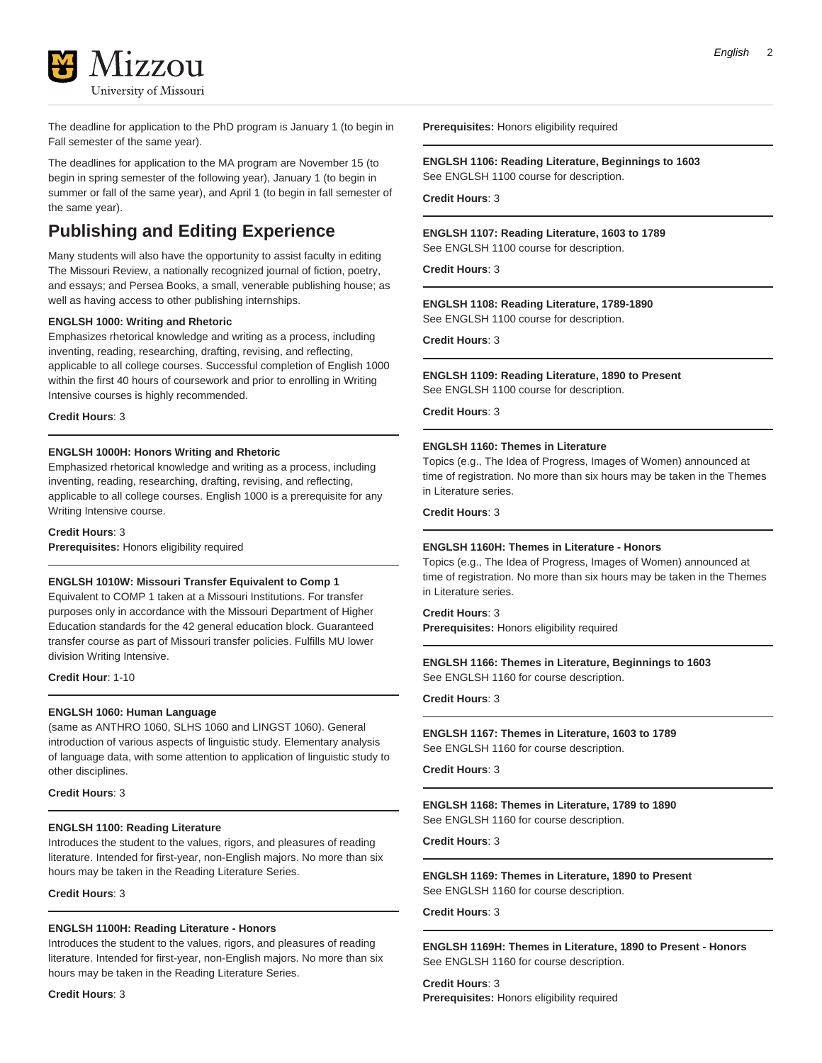

The deadline for application to the PhD program is January 1 (to begin in Fall semester of the same year).

The deadlines for application to the MA program are November 15 (to begin in spring semester of the following year), January 1 (to begin in summer or fall of the same year), and April 1 (to begin in fall semester of the same year).

# **Publishing and Editing Experience**

Many students will also have the opportunity to assist faculty in editing The Missouri Review, a nationally recognized journal of fiction, poetry, and essays; and Persea Books, a small, venerable publishing house; as well as having access to other publishing internships.

#### **ENGLSH 1000: Writing and Rhetoric**

Emphasizes rhetorical knowledge and writing as a process, including inventing, reading, researching, drafting, revising, and reflecting, applicable to all college courses. Successful completion of English 1000 within the first 40 hours of coursework and prior to enrolling in Writing Intensive courses is highly recommended.

**Credit Hours**: 3

#### **ENGLSH 1000H: Honors Writing and Rhetoric**

Emphasized rhetorical knowledge and writing as a process, including inventing, reading, researching, drafting, revising, and reflecting, applicable to all college courses. English 1000 is a prerequisite for any Writing Intensive course.

**Credit Hours**: 3 **Prerequisites:** Honors eligibility required

#### **ENGLSH 1010W: Missouri Transfer Equivalent to Comp 1**

Equivalent to COMP 1 taken at a Missouri Institutions. For transfer purposes only in accordance with the Missouri Department of Higher Education standards for the 42 general education block. Guaranteed transfer course as part of Missouri transfer policies. Fulfills MU lower division Writing Intensive.

**Credit Hour**: 1-10

#### **ENGLSH 1060: Human Language**

(same as ANTHRO 1060, SLHS 1060 and LINGST 1060). General introduction of various aspects of linguistic study. Elementary analysis of language data, with some attention to application of linguistic study to other disciplines.

**Credit Hours**: 3

#### **ENGLSH 1100: Reading Literature**

Introduces the student to the values, rigors, and pleasures of reading literature. Intended for first-year, non-English majors. No more than six hours may be taken in the Reading Literature Series.

**Credit Hours**: 3

#### **ENGLSH 1100H: Reading Literature - Honors**

Introduces the student to the values, rigors, and pleasures of reading literature. Intended for first-year, non-English majors. No more than six hours may be taken in the Reading Literature Series.

**Credit Hours**: 3

**Prerequisites:** Honors eligibility required

#### **ENGLSH 1106: Reading Literature, Beginnings to 1603** See ENGLSH 1100 course for description.

**Credit Hours**: 3

#### **ENGLSH 1107: Reading Literature, 1603 to 1789** See ENGLSH 1100 course for description.

**Credit Hours**: 3

**ENGLSH 1108: Reading Literature, 1789-1890**

See ENGLSH 1100 course for description.

**Credit Hours**: 3

#### **ENGLSH 1109: Reading Literature, 1890 to Present** See ENGLSH 1100 course for description.

**Credit Hours**: 3

#### **ENGLSH 1160: Themes in Literature**

Topics (e.g., The Idea of Progress, Images of Women) announced at time of registration. No more than six hours may be taken in the Themes in Literature series.

#### **Credit Hours**: 3

#### **ENGLSH 1160H: Themes in Literature - Honors**

Topics (e.g., The Idea of Progress, Images of Women) announced at time of registration. No more than six hours may be taken in the Themes in Literature series.

#### **Credit Hours**: 3

**Prerequisites:** Honors eligibility required

**ENGLSH 1166: Themes in Literature, Beginnings to 1603** See ENGLSH 1160 for course description.

**Credit Hours**: 3

#### **ENGLSH 1167: Themes in Literature, 1603 to 1789** See ENGLSH 1160 for course description.

**Credit Hours**: 3

#### **ENGLSH 1168: Themes in Literature, 1789 to 1890** See ENGLSH 1160 for course description.

**Credit Hours**: 3

#### **ENGLSH 1169: Themes in Literature, 1890 to Present** See ENGLSH 1160 for course description.

#### **Credit Hours**: 3

**ENGLSH 1169H: Themes in Literature, 1890 to Present - Honors** See ENGLSH 1160 for course description.

**Credit Hours**: 3 **Prerequisites:** Honors eligibility required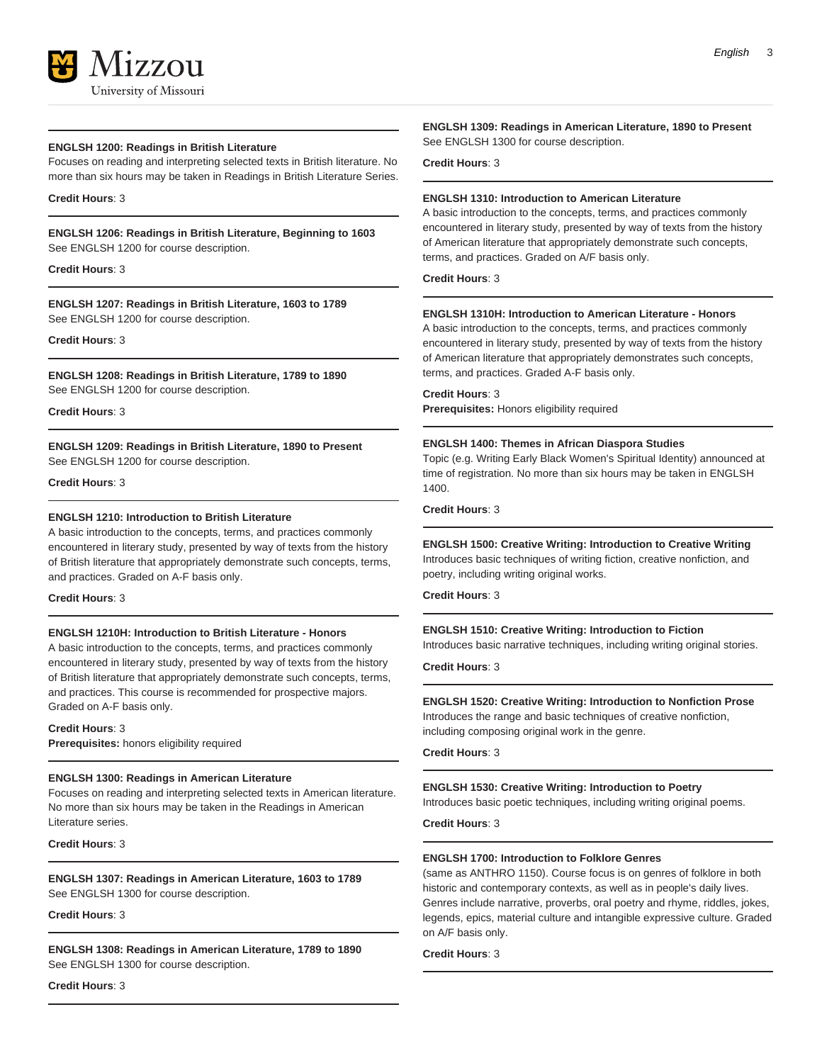

#### **ENGLSH 1200: Readings in British Literature**

Focuses on reading and interpreting selected texts in British literature. No more than six hours may be taken in Readings in British Literature Series.

#### **Credit Hours**: 3

**ENGLSH 1206: Readings in British Literature, Beginning to 1603** See ENGLSH 1200 for course description.

#### **Credit Hours**: 3

**ENGLSH 1207: Readings in British Literature, 1603 to 1789** See ENGLSH 1200 for course description.

#### **Credit Hours**: 3

**ENGLSH 1208: Readings in British Literature, 1789 to 1890** See ENGLSH 1200 for course description.

**Credit Hours**: 3

**ENGLSH 1209: Readings in British Literature, 1890 to Present** See ENGLSH 1200 for course description.

**Credit Hours**: 3

#### **ENGLSH 1210: Introduction to British Literature**

A basic introduction to the concepts, terms, and practices commonly encountered in literary study, presented by way of texts from the history of British literature that appropriately demonstrate such concepts, terms, and practices. Graded on A-F basis only.

#### **Credit Hours**: 3

#### **ENGLSH 1210H: Introduction to British Literature - Honors**

A basic introduction to the concepts, terms, and practices commonly encountered in literary study, presented by way of texts from the history of British literature that appropriately demonstrate such concepts, terms, and practices. This course is recommended for prospective majors. Graded on A-F basis only.

#### **Credit Hours**: 3

**Prerequisites:** honors eligibility required

#### **ENGLSH 1300: Readings in American Literature**

Focuses on reading and interpreting selected texts in American literature. No more than six hours may be taken in the Readings in American Literature series.

**Credit Hours**: 3

**ENGLSH 1307: Readings in American Literature, 1603 to 1789** See ENGLSH 1300 for course description.

#### **Credit Hours**: 3

**ENGLSH 1308: Readings in American Literature, 1789 to 1890** See ENGLSH 1300 for course description.

**Credit Hours**: 3

**ENGLSH 1309: Readings in American Literature, 1890 to Present** See ENGLSH 1300 for course description.

**Credit Hours**: 3

#### **ENGLSH 1310: Introduction to American Literature**

A basic introduction to the concepts, terms, and practices commonly encountered in literary study, presented by way of texts from the history of American literature that appropriately demonstrate such concepts, terms, and practices. Graded on A/F basis only.

**Credit Hours**: 3

#### **ENGLSH 1310H: Introduction to American Literature - Honors**

A basic introduction to the concepts, terms, and practices commonly encountered in literary study, presented by way of texts from the history of American literature that appropriately demonstrates such concepts, terms, and practices. Graded A-F basis only.

**Credit Hours**: 3

**Prerequisites:** Honors eligibility required

#### **ENGLSH 1400: Themes in African Diaspora Studies**

Topic (e.g. Writing Early Black Women's Spiritual Identity) announced at time of registration. No more than six hours may be taken in ENGLSH 1400.

**Credit Hours**: 3

#### **ENGLSH 1500: Creative Writing: Introduction to Creative Writing**

Introduces basic techniques of writing fiction, creative nonfiction, and poetry, including writing original works.

**Credit Hours**: 3

#### **ENGLSH 1510: Creative Writing: Introduction to Fiction**

Introduces basic narrative techniques, including writing original stories.

**Credit Hours**: 3

#### **ENGLSH 1520: Creative Writing: Introduction to Nonfiction Prose**

Introduces the range and basic techniques of creative nonfiction, including composing original work in the genre.

**Credit Hours**: 3

#### **ENGLSH 1530: Creative Writing: Introduction to Poetry**

Introduces basic poetic techniques, including writing original poems.

**Credit Hours**: 3

#### **ENGLSH 1700: Introduction to Folklore Genres**

(same as ANTHRO 1150). Course focus is on genres of folklore in both historic and contemporary contexts, as well as in people's daily lives. Genres include narrative, proverbs, oral poetry and rhyme, riddles, jokes, legends, epics, material culture and intangible expressive culture. Graded on A/F basis only.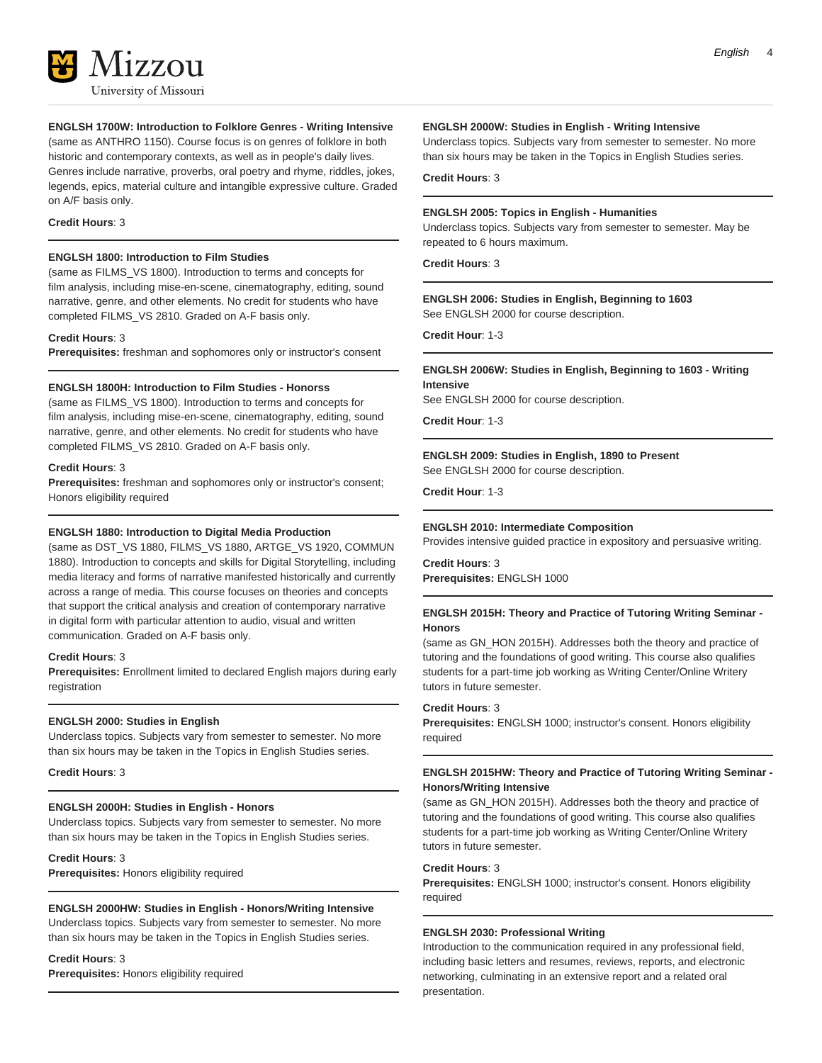

#### **ENGLSH 1700W: Introduction to Folklore Genres - Writing Intensive**

(same as ANTHRO 1150). Course focus is on genres of folklore in both historic and contemporary contexts, as well as in people's daily lives. Genres include narrative, proverbs, oral poetry and rhyme, riddles, jokes, legends, epics, material culture and intangible expressive culture. Graded on A/F basis only.

#### **Credit Hours**: 3

#### **ENGLSH 1800: Introduction to Film Studies**

(same as FILMS\_VS 1800). Introduction to terms and concepts for film analysis, including mise-en-scene, cinematography, editing, sound narrative, genre, and other elements. No credit for students who have completed FILMS\_VS 2810. Graded on A-F basis only.

#### **Credit Hours**: 3

**Prerequisites:** freshman and sophomores only or instructor's consent

#### **ENGLSH 1800H: Introduction to Film Studies - Honorss**

(same as FILMS\_VS 1800). Introduction to terms and concepts for film analysis, including mise-en-scene, cinematography, editing, sound narrative, genre, and other elements. No credit for students who have completed FILMS\_VS 2810. Graded on A-F basis only.

#### **Credit Hours**: 3

**Prerequisites:** freshman and sophomores only or instructor's consent; Honors eligibility required

#### **ENGLSH 1880: Introduction to Digital Media Production**

(same as DST\_VS 1880, FILMS\_VS 1880, ARTGE\_VS 1920, COMMUN 1880). Introduction to concepts and skills for Digital Storytelling, including media literacy and forms of narrative manifested historically and currently across a range of media. This course focuses on theories and concepts that support the critical analysis and creation of contemporary narrative in digital form with particular attention to audio, visual and written communication. Graded on A-F basis only.

#### **Credit Hours**: 3

**Prerequisites:** Enrollment limited to declared English majors during early registration

#### **ENGLSH 2000: Studies in English**

Underclass topics. Subjects vary from semester to semester. No more than six hours may be taken in the Topics in English Studies series.

**Credit Hours**: 3

#### **ENGLSH 2000H: Studies in English - Honors**

Underclass topics. Subjects vary from semester to semester. No more than six hours may be taken in the Topics in English Studies series.

#### **Credit Hours**: 3

**Prerequisites:** Honors eligibility required

#### **ENGLSH 2000HW: Studies in English - Honors/Writing Intensive**

Underclass topics. Subjects vary from semester to semester. No more than six hours may be taken in the Topics in English Studies series.

#### **Credit Hours**: 3

**Prerequisites:** Honors eligibility required

#### **ENGLSH 2000W: Studies in English - Writing Intensive**

Underclass topics. Subjects vary from semester to semester. No more than six hours may be taken in the Topics in English Studies series.

#### **Credit Hours**: 3

#### **ENGLSH 2005: Topics in English - Humanities**

Underclass topics. Subjects vary from semester to semester. May be repeated to 6 hours maximum.

**Credit Hours**: 3

**ENGLSH 2006: Studies in English, Beginning to 1603** See ENGLSH 2000 for course description.

**Credit Hour**: 1-3

#### **ENGLSH 2006W: Studies in English, Beginning to 1603 - Writing Intensive**

See ENGLSH 2000 for course description.

**Credit Hour**: 1-3

#### **ENGLSH 2009: Studies in English, 1890 to Present** See ENGLSH 2000 for course description.

**Credit Hour**: 1-3

#### **ENGLSH 2010: Intermediate Composition**

Provides intensive guided practice in expository and persuasive writing.

**Credit Hours**: 3 **Prerequisites:** ENGLSH 1000

#### **ENGLSH 2015H: Theory and Practice of Tutoring Writing Seminar - Honors**

(same as GN\_HON 2015H). Addresses both the theory and practice of tutoring and the foundations of good writing. This course also qualifies students for a part-time job working as Writing Center/Online Writery tutors in future semester.

#### **Credit Hours**: 3

**Prerequisites:** ENGLSH 1000; instructor's consent. Honors eligibility required

#### **ENGLSH 2015HW: Theory and Practice of Tutoring Writing Seminar - Honors/Writing Intensive**

(same as GN\_HON 2015H). Addresses both the theory and practice of tutoring and the foundations of good writing. This course also qualifies students for a part-time job working as Writing Center/Online Writery tutors in future semester.

#### **Credit Hours**: 3

**Prerequisites:** ENGLSH 1000; instructor's consent. Honors eligibility required

#### **ENGLSH 2030: Professional Writing**

Introduction to the communication required in any professional field, including basic letters and resumes, reviews, reports, and electronic networking, culminating in an extensive report and a related oral presentation.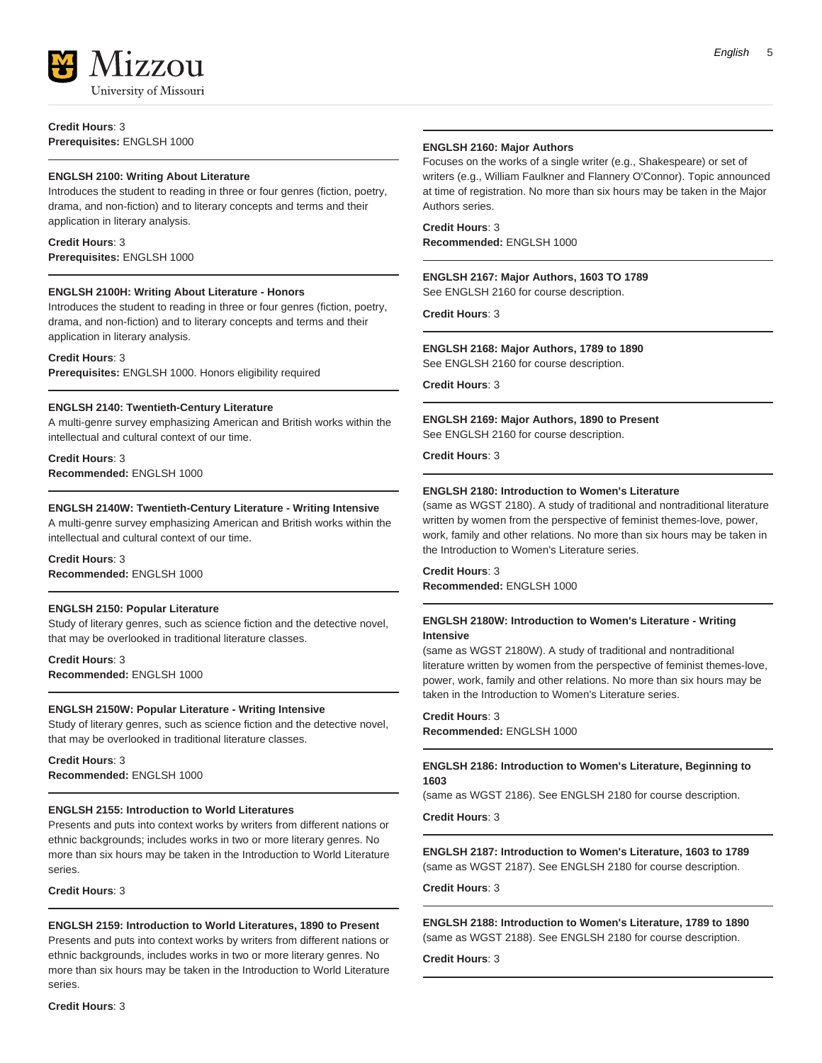

**Credit Hours**: 3 **Prerequisites:** ENGLSH 1000

#### **ENGLSH 2100: Writing About Literature**

Introduces the student to reading in three or four genres (fiction, poetry, drama, and non-fiction) and to literary concepts and terms and their application in literary analysis.

#### **Credit Hours**: 3 **Prerequisites:** ENGLSH 1000

#### **ENGLSH 2100H: Writing About Literature - Honors**

Introduces the student to reading in three or four genres (fiction, poetry, drama, and non-fiction) and to literary concepts and terms and their application in literary analysis.

#### **Credit Hours**: 3

**Prerequisites:** ENGLSH 1000. Honors eligibility required

#### **ENGLSH 2140: Twentieth-Century Literature**

A multi-genre survey emphasizing American and British works within the intellectual and cultural context of our time.

**Credit Hours**: 3 **Recommended:** ENGLSH 1000

#### **ENGLSH 2140W: Twentieth-Century Literature - Writing Intensive**

A multi-genre survey emphasizing American and British works within the intellectual and cultural context of our time.

#### **Credit Hours**: 3 **Recommended:** ENGLSH 1000

#### **ENGLSH 2150: Popular Literature**

Study of literary genres, such as science fiction and the detective novel, that may be overlooked in traditional literature classes.

**Credit Hours**: 3 **Recommended:** ENGLSH 1000

#### **ENGLSH 2150W: Popular Literature - Writing Intensive**

Study of literary genres, such as science fiction and the detective novel, that may be overlooked in traditional literature classes.

#### **Credit Hours**: 3 **Recommended:** ENGLSH 1000

#### **ENGLSH 2155: Introduction to World Literatures**

Presents and puts into context works by writers from different nations or ethnic backgrounds; includes works in two or more literary genres. No more than six hours may be taken in the Introduction to World Literature series.

**Credit Hours**: 3

#### **ENGLSH 2159: Introduction to World Literatures, 1890 to Present**

Presents and puts into context works by writers from different nations or ethnic backgrounds, includes works in two or more literary genres. No more than six hours may be taken in the Introduction to World Literature series.

#### **Credit Hours**: 3

#### **ENGLSH 2160: Major Authors**

Focuses on the works of a single writer (e.g., Shakespeare) or set of writers (e.g., William Faulkner and Flannery O'Connor). Topic announced at time of registration. No more than six hours may be taken in the Major Authors series.

**Credit Hours**: 3 **Recommended:** ENGLSH 1000

#### **ENGLSH 2167: Major Authors, 1603 TO 1789**

See ENGLSH 2160 for course description.

**Credit Hours**: 3

#### **ENGLSH 2168: Major Authors, 1789 to 1890**

See ENGLSH 2160 for course description.

**Credit Hours**: 3

#### **ENGLSH 2169: Major Authors, 1890 to Present**

See ENGLSH 2160 for course description.

**Credit Hours**: 3

#### **ENGLSH 2180: Introduction to Women's Literature**

(same as WGST 2180). A study of traditional and nontraditional literature written by women from the perspective of feminist themes-love, power, work, family and other relations. No more than six hours may be taken in the Introduction to Women's Literature series.

**Credit Hours**: 3 **Recommended:** ENGLSH 1000

#### **ENGLSH 2180W: Introduction to Women's Literature - Writing Intensive**

(same as WGST 2180W). A study of traditional and nontraditional literature written by women from the perspective of feminist themes-love, power, work, family and other relations. No more than six hours may be taken in the Introduction to Women's Literature series.

**Credit Hours**: 3 **Recommended:** ENGLSH 1000

#### **ENGLSH 2186: Introduction to Women's Literature, Beginning to 1603**

(same as WGST 2186). See ENGLSH 2180 for course description.

**Credit Hours**: 3

**ENGLSH 2187: Introduction to Women's Literature, 1603 to 1789** (same as WGST 2187). See ENGLSH 2180 for course description.

**Credit Hours**: 3

**ENGLSH 2188: Introduction to Women's Literature, 1789 to 1890** (same as WGST 2188). See ENGLSH 2180 for course description.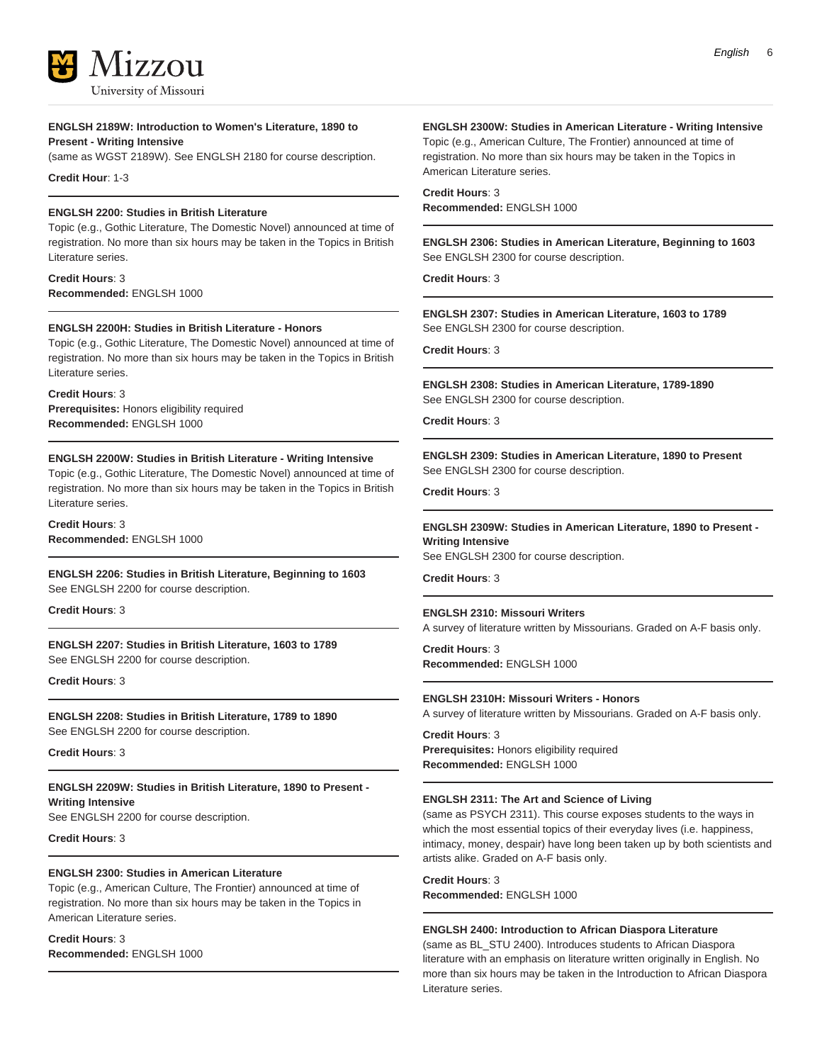

#### **ENGLSH 2189W: Introduction to Women's Literature, 1890 to Present - Writing Intensive**

(same as WGST 2189W). See ENGLSH 2180 for course description.

**Credit Hour**: 1-3

#### **ENGLSH 2200: Studies in British Literature**

Topic (e.g., Gothic Literature, The Domestic Novel) announced at time of registration. No more than six hours may be taken in the Topics in British Literature series.

**Credit Hours**: 3 **Recommended:** ENGLSH 1000

#### **ENGLSH 2200H: Studies in British Literature - Honors**

Topic (e.g., Gothic Literature, The Domestic Novel) announced at time of registration. No more than six hours may be taken in the Topics in British Literature series.

**Credit Hours**: 3

**Prerequisites:** Honors eligibility required **Recommended:** ENGLSH 1000

#### **ENGLSH 2200W: Studies in British Literature - Writing Intensive**

Topic (e.g., Gothic Literature, The Domestic Novel) announced at time of registration. No more than six hours may be taken in the Topics in British Literature series.

**Credit Hours**: 3 **Recommended:** ENGLSH 1000

### **ENGLSH 2206: Studies in British Literature, Beginning to 1603**

See ENGLSH 2200 for course description.

**Credit Hours**: 3

**ENGLSH 2207: Studies in British Literature, 1603 to 1789** See ENGLSH 2200 for course description.

**Credit Hours**: 3

**ENGLSH 2208: Studies in British Literature, 1789 to 1890** See ENGLSH 2200 for course description.

**Credit Hours**: 3

**ENGLSH 2209W: Studies in British Literature, 1890 to Present - Writing Intensive** See ENGLSH 2200 for course description.

**Credit Hours**: 3

#### **ENGLSH 2300: Studies in American Literature**

Topic (e.g., American Culture, The Frontier) announced at time of registration. No more than six hours may be taken in the Topics in American Literature series.

**Credit Hours**: 3

**Recommended:** ENGLSH 1000

#### **ENGLSH 2300W: Studies in American Literature - Writing Intensive**

Topic (e.g., American Culture, The Frontier) announced at time of registration. No more than six hours may be taken in the Topics in American Literature series.

**Credit Hours**: 3 **Recommended:** ENGLSH 1000

**ENGLSH 2306: Studies in American Literature, Beginning to 1603** See ENGLSH 2300 for course description.

**Credit Hours**: 3

**ENGLSH 2307: Studies in American Literature, 1603 to 1789** See ENGLSH 2300 for course description.

**Credit Hours**: 3

**ENGLSH 2308: Studies in American Literature, 1789-1890** See ENGLSH 2300 for course description.

**Credit Hours**: 3

**ENGLSH 2309: Studies in American Literature, 1890 to Present** See ENGLSH 2300 for course description.

**Credit Hours**: 3

#### **ENGLSH 2309W: Studies in American Literature, 1890 to Present - Writing Intensive**

See ENGLSH 2300 for course description.

**Credit Hours**: 3

#### **ENGLSH 2310: Missouri Writers**

A survey of literature written by Missourians. Graded on A-F basis only.

**Credit Hours**: 3 **Recommended:** ENGLSH 1000

#### **ENGLSH 2310H: Missouri Writers - Honors**

A survey of literature written by Missourians. Graded on A-F basis only.

**Credit Hours**: 3 **Prerequisites:** Honors eligibility required **Recommended:** ENGLSH 1000

#### **ENGLSH 2311: The Art and Science of Living**

(same as PSYCH 2311). This course exposes students to the ways in which the most essential topics of their everyday lives (i.e. happiness, intimacy, money, despair) have long been taken up by both scientists and artists alike. Graded on A-F basis only.

**Credit Hours**: 3 **Recommended:** ENGLSH 1000

#### **ENGLSH 2400: Introduction to African Diaspora Literature**

(same as BL\_STU 2400). Introduces students to African Diaspora literature with an emphasis on literature written originally in English. No more than six hours may be taken in the Introduction to African Diaspora Literature series.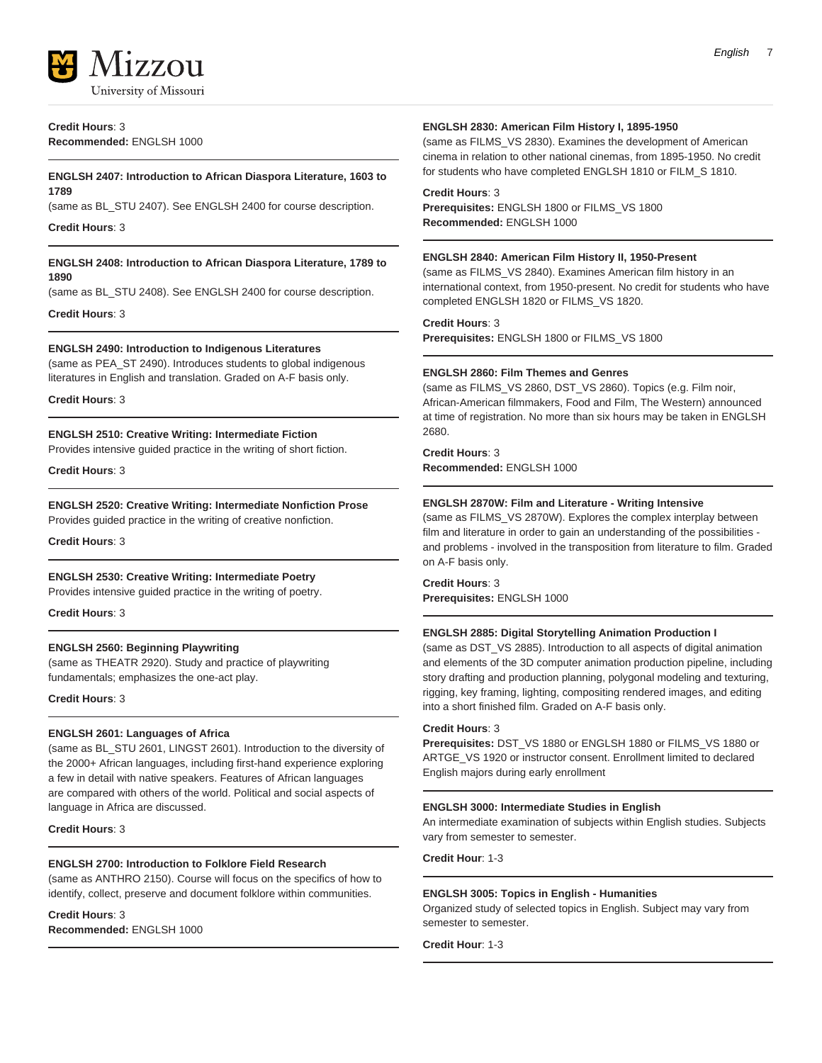

**Credit Hours**: 3 **Recommended:** ENGLSH 1000

#### **ENGLSH 2407: Introduction to African Diaspora Literature, 1603 to 1789**

(same as BL\_STU 2407). See ENGLSH 2400 for course description.

**Credit Hours**: 3

#### **ENGLSH 2408: Introduction to African Diaspora Literature, 1789 to 1890**

(same as BL\_STU 2408). See ENGLSH 2400 for course description.

**Credit Hours**: 3

#### **ENGLSH 2490: Introduction to Indigenous Literatures**

(same as PEA\_ST 2490). Introduces students to global indigenous literatures in English and translation. Graded on A-F basis only.

**Credit Hours**: 3

#### **ENGLSH 2510: Creative Writing: Intermediate Fiction**

Provides intensive guided practice in the writing of short fiction.

**Credit Hours**: 3

#### **ENGLSH 2520: Creative Writing: Intermediate Nonfiction Prose**

Provides guided practice in the writing of creative nonfiction.

**Credit Hours**: 3

#### **ENGLSH 2530: Creative Writing: Intermediate Poetry**

Provides intensive guided practice in the writing of poetry.

**Credit Hours**: 3

#### **ENGLSH 2560: Beginning Playwriting**

(same as THEATR 2920). Study and practice of playwriting fundamentals; emphasizes the one-act play.

**Credit Hours**: 3

#### **ENGLSH 2601: Languages of Africa**

(same as BL\_STU 2601, LINGST 2601). Introduction to the diversity of the 2000+ African languages, including first-hand experience exploring a few in detail with native speakers. Features of African languages are compared with others of the world. Political and social aspects of language in Africa are discussed.

**Credit Hours**: 3

#### **ENGLSH 2700: Introduction to Folklore Field Research**

(same as ANTHRO 2150). Course will focus on the specifics of how to identify, collect, preserve and document folklore within communities.

#### **Credit Hours**: 3 **Recommended:** ENGLSH 1000

#### **ENGLSH 2830: American Film History I, 1895-1950**

(same as FILMS\_VS 2830). Examines the development of American cinema in relation to other national cinemas, from 1895-1950. No credit for students who have completed ENGLSH 1810 or FILM\_S 1810.

#### **Credit Hours**: 3

**Prerequisites:** ENGLSH 1800 or FILMS\_VS 1800 **Recommended:** ENGLSH 1000

#### **ENGLSH 2840: American Film History II, 1950-Present**

(same as FILMS\_VS 2840). Examines American film history in an international context, from 1950-present. No credit for students who have completed ENGLSH 1820 or FILMS\_VS 1820.

**Credit Hours**: 3

**Prerequisites:** ENGLSH 1800 or FILMS\_VS 1800

#### **ENGLSH 2860: Film Themes and Genres**

(same as FILMS\_VS 2860, DST\_VS 2860). Topics (e.g. Film noir, African-American filmmakers, Food and Film, The Western) announced at time of registration. No more than six hours may be taken in ENGLSH 2680.

**Credit Hours**: 3 **Recommended:** ENGLSH 1000

#### **ENGLSH 2870W: Film and Literature - Writing Intensive**

(same as FILMS\_VS 2870W). Explores the complex interplay between film and literature in order to gain an understanding of the possibilities and problems - involved in the transposition from literature to film. Graded on A-F basis only.

**Credit Hours**: 3 **Prerequisites:** ENGLSH 1000

#### **ENGLSH 2885: Digital Storytelling Animation Production I**

(same as DST\_VS 2885). Introduction to all aspects of digital animation and elements of the 3D computer animation production pipeline, including story drafting and production planning, polygonal modeling and texturing, rigging, key framing, lighting, compositing rendered images, and editing into a short finished film. Graded on A-F basis only.

#### **Credit Hours**: 3

**Prerequisites:** DST\_VS 1880 or ENGLSH 1880 or FILMS\_VS 1880 or ARTGE\_VS 1920 or instructor consent. Enrollment limited to declared English majors during early enrollment

#### **ENGLSH 3000: Intermediate Studies in English**

An intermediate examination of subjects within English studies. Subjects vary from semester to semester.

**Credit Hour**: 1-3

#### **ENGLSH 3005: Topics in English - Humanities**

Organized study of selected topics in English. Subject may vary from semester to semester.

**Credit Hour**: 1-3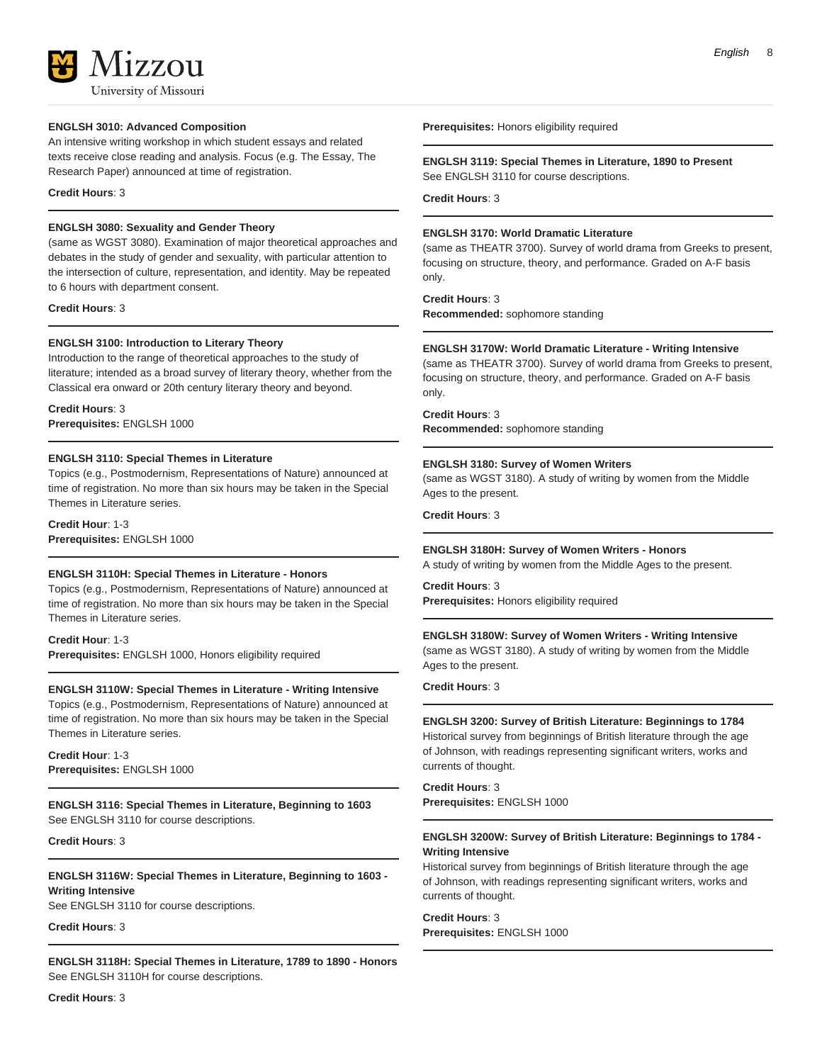# 17.7.011 University of Missouri

#### **ENGLSH 3010: Advanced Composition**

An intensive writing workshop in which student essays and related texts receive close reading and analysis. Focus (e.g. The Essay, The Research Paper) announced at time of registration.

#### **Credit Hours**: 3

#### **ENGLSH 3080: Sexuality and Gender Theory**

(same as WGST 3080). Examination of major theoretical approaches and debates in the study of gender and sexuality, with particular attention to the intersection of culture, representation, and identity. May be repeated to 6 hours with department consent.

**Credit Hours**: 3

#### **ENGLSH 3100: Introduction to Literary Theory**

Introduction to the range of theoretical approaches to the study of literature; intended as a broad survey of literary theory, whether from the Classical era onward or 20th century literary theory and beyond.

**Credit Hours**: 3 **Prerequisites:** ENGLSH 1000

#### **ENGLSH 3110: Special Themes in Literature**

Topics (e.g., Postmodernism, Representations of Nature) announced at time of registration. No more than six hours may be taken in the Special Themes in Literature series.

**Credit Hour**: 1-3 **Prerequisites:** ENGLSH 1000

#### **ENGLSH 3110H: Special Themes in Literature - Honors**

Topics (e.g., Postmodernism, Representations of Nature) announced at time of registration. No more than six hours may be taken in the Special Themes in Literature series.

**Credit Hour**: 1-3 **Prerequisites:** ENGLSH 1000, Honors eligibility required

#### **ENGLSH 3110W: Special Themes in Literature - Writing Intensive**

Topics (e.g., Postmodernism, Representations of Nature) announced at time of registration. No more than six hours may be taken in the Special Themes in Literature series.

**Credit Hour**: 1-3 **Prerequisites:** ENGLSH 1000

**ENGLSH 3116: Special Themes in Literature, Beginning to 1603** See ENGLSH 3110 for course descriptions.

**Credit Hours**: 3

**ENGLSH 3116W: Special Themes in Literature, Beginning to 1603 - Writing Intensive** See ENGLSH 3110 for course descriptions.

**Credit Hours**: 3

**ENGLSH 3118H: Special Themes in Literature, 1789 to 1890 - Honors** See ENGLSH 3110H for course descriptions.

**Credit Hours**: 3

**Prerequisites:** Honors eligibility required

#### **ENGLSH 3119: Special Themes in Literature, 1890 to Present** See ENGLSH 3110 for course descriptions.

**Credit Hours**: 3

#### **ENGLSH 3170: World Dramatic Literature**

(same as THEATR 3700). Survey of world drama from Greeks to present, focusing on structure, theory, and performance. Graded on A-F basis only.

**Credit Hours**: 3

**Recommended:** sophomore standing

#### **ENGLSH 3170W: World Dramatic Literature - Writing Intensive**

(same as THEATR 3700). Survey of world drama from Greeks to present, focusing on structure, theory, and performance. Graded on A-F basis only.

**Credit Hours**: 3 **Recommended:** sophomore standing

#### **ENGLSH 3180: Survey of Women Writers**

(same as WGST 3180). A study of writing by women from the Middle Ages to the present.

**Credit Hours**: 3

#### **ENGLSH 3180H: Survey of Women Writers - Honors**

A study of writing by women from the Middle Ages to the present.

#### **Credit Hours**: 3

**Prerequisites:** Honors eligibility required

#### **ENGLSH 3180W: Survey of Women Writers - Writing Intensive**

(same as WGST 3180). A study of writing by women from the Middle Ages to the present.

#### **Credit Hours**: 3

### **ENGLSH 3200: Survey of British Literature: Beginnings to 1784**

Historical survey from beginnings of British literature through the age of Johnson, with readings representing significant writers, works and currents of thought.

**Credit Hours**: 3 **Prerequisites:** ENGLSH 1000

#### **ENGLSH 3200W: Survey of British Literature: Beginnings to 1784 - Writing Intensive**

Historical survey from beginnings of British literature through the age of Johnson, with readings representing significant writers, works and currents of thought.

**Credit Hours**: 3 **Prerequisites:** ENGLSH 1000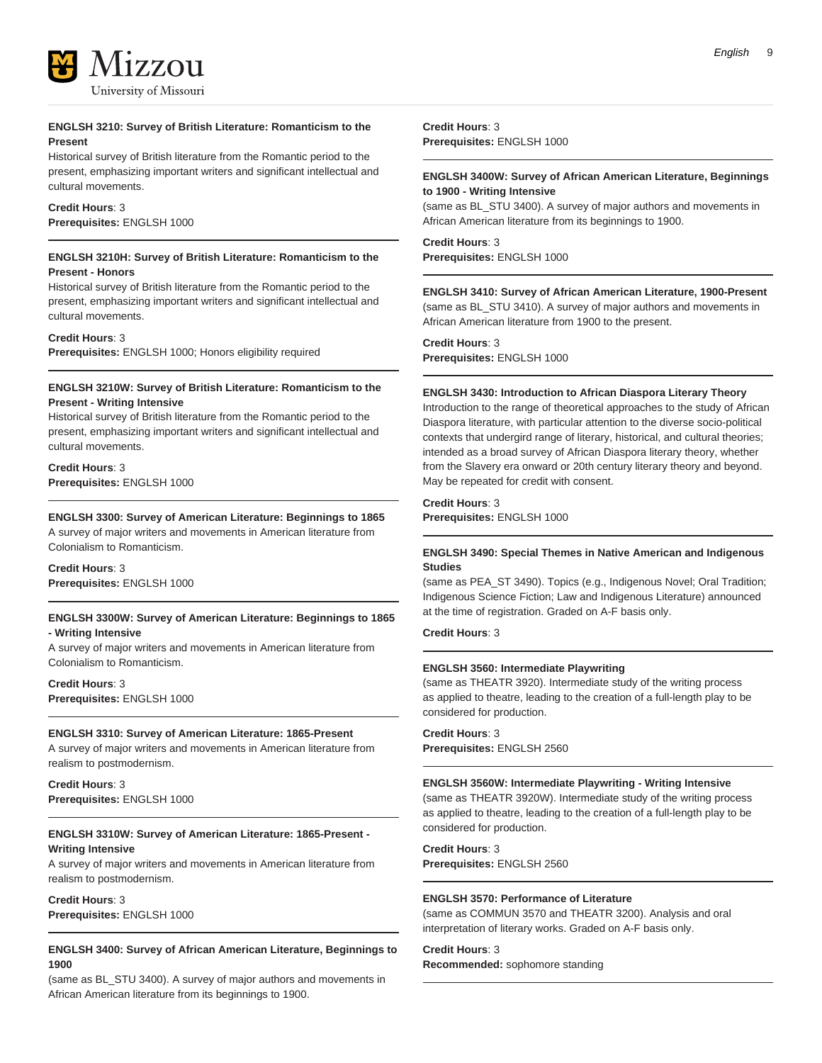

#### **ENGLSH 3210: Survey of British Literature: Romanticism to the Present**

Historical survey of British literature from the Romantic period to the present, emphasizing important writers and significant intellectual and cultural movements.

#### **Credit Hours**: 3 **Prerequisites:** ENGLSH 1000

#### **ENGLSH 3210H: Survey of British Literature: Romanticism to the Present - Honors**

Historical survey of British literature from the Romantic period to the present, emphasizing important writers and significant intellectual and cultural movements.

#### **Credit Hours**: 3

**Prerequisites:** ENGLSH 1000; Honors eligibility required

#### **ENGLSH 3210W: Survey of British Literature: Romanticism to the Present - Writing Intensive**

Historical survey of British literature from the Romantic period to the present, emphasizing important writers and significant intellectual and cultural movements.

#### **Credit Hours**: 3 **Prerequisites:** ENGLSH 1000

#### **ENGLSH 3300: Survey of American Literature: Beginnings to 1865**

A survey of major writers and movements in American literature from Colonialism to Romanticism.

#### **Credit Hours**: 3 **Prerequisites:** ENGLSH 1000

#### **ENGLSH 3300W: Survey of American Literature: Beginnings to 1865 - Writing Intensive**

A survey of major writers and movements in American literature from Colonialism to Romanticism.

#### **Credit Hours**: 3 **Prerequisites:** ENGLSH 1000

#### **ENGLSH 3310: Survey of American Literature: 1865-Present**

A survey of major writers and movements in American literature from realism to postmodernism.

**Credit Hours**: 3 **Prerequisites:** ENGLSH 1000

#### **ENGLSH 3310W: Survey of American Literature: 1865-Present - Writing Intensive**

A survey of major writers and movements in American literature from realism to postmodernism.

#### **Credit Hours**: 3

**Prerequisites:** ENGLSH 1000

#### **ENGLSH 3400: Survey of African American Literature, Beginnings to 1900**

(same as BL\_STU 3400). A survey of major authors and movements in African American literature from its beginnings to 1900.

**Credit Hours**: 3 **Prerequisites:** ENGLSH 1000

#### **ENGLSH 3400W: Survey of African American Literature, Beginnings to 1900 - Writing Intensive**

(same as BL\_STU 3400). A survey of major authors and movements in African American literature from its beginnings to 1900.

#### **Credit Hours**: 3 **Prerequisites:** ENGLSH 1000

#### **ENGLSH 3410: Survey of African American Literature, 1900-Present**

(same as BL\_STU 3410). A survey of major authors and movements in African American literature from 1900 to the present.

#### **Credit Hours**: 3

**Prerequisites:** ENGLSH 1000

#### **ENGLSH 3430: Introduction to African Diaspora Literary Theory**

Introduction to the range of theoretical approaches to the study of African Diaspora literature, with particular attention to the diverse socio-political contexts that undergird range of literary, historical, and cultural theories; intended as a broad survey of African Diaspora literary theory, whether from the Slavery era onward or 20th century literary theory and beyond. May be repeated for credit with consent.

#### **Credit Hours**: 3

**Prerequisites:** ENGLSH 1000

#### **ENGLSH 3490: Special Themes in Native American and Indigenous Studies**

(same as PEA\_ST 3490). Topics (e.g., Indigenous Novel; Oral Tradition; Indigenous Science Fiction; Law and Indigenous Literature) announced at the time of registration. Graded on A-F basis only.

#### **Credit Hours**: 3

#### **ENGLSH 3560: Intermediate Playwriting**

(same as THEATR 3920). Intermediate study of the writing process as applied to theatre, leading to the creation of a full-length play to be considered for production.

### **Credit Hours**: 3

**Prerequisites:** ENGLSH 2560

#### **ENGLSH 3560W: Intermediate Playwriting - Writing Intensive**

(same as THEATR 3920W). Intermediate study of the writing process as applied to theatre, leading to the creation of a full-length play to be considered for production.

**Credit Hours**: 3 **Prerequisites:** ENGLSH 2560

#### **ENGLSH 3570: Performance of Literature**

(same as COMMUN 3570 and THEATR 3200). Analysis and oral interpretation of literary works. Graded on A-F basis only.

#### **Credit Hours**: 3

**Recommended:** sophomore standing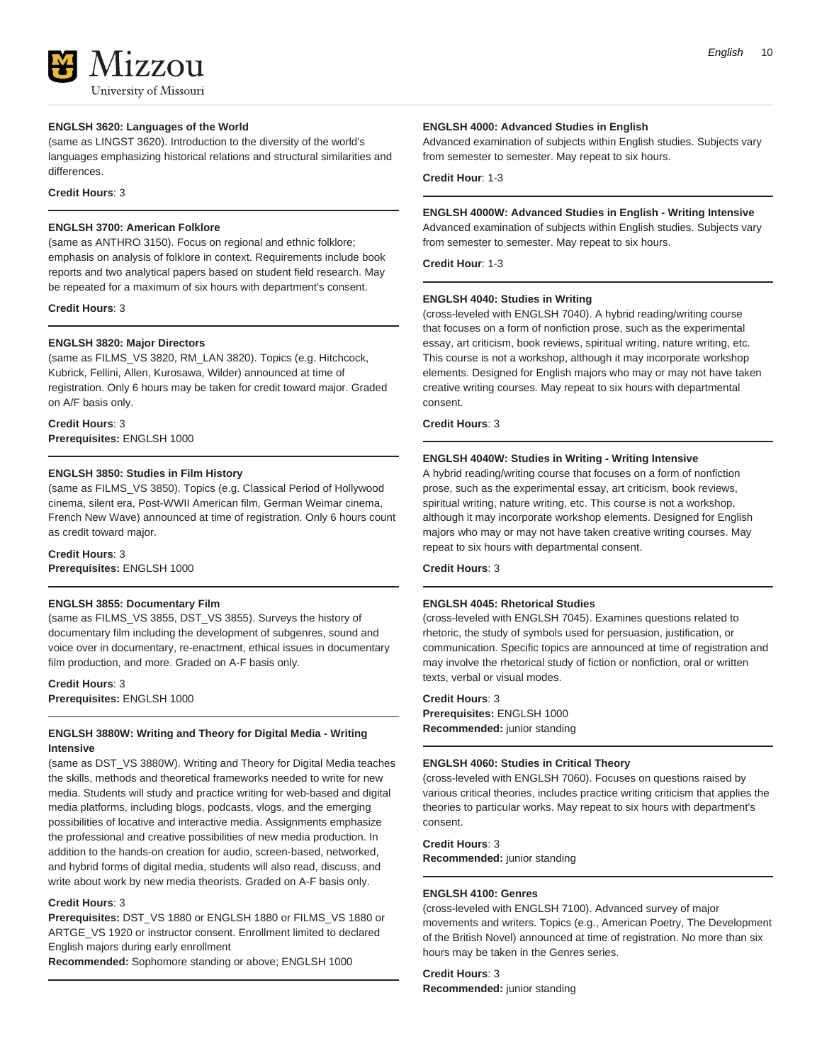# 17.7011 University of Missouri

#### **ENGLSH 3620: Languages of the World**

(same as LINGST 3620). Introduction to the diversity of the world's languages emphasizing historical relations and structural similarities and differences.

#### **Credit Hours**: 3

#### **ENGLSH 3700: American Folklore**

(same as ANTHRO 3150). Focus on regional and ethnic folklore; emphasis on analysis of folklore in context. Requirements include book reports and two analytical papers based on student field research. May be repeated for a maximum of six hours with department's consent.

**Credit Hours**: 3

#### **ENGLSH 3820: Major Directors**

(same as FILMS\_VS 3820, RM\_LAN 3820). Topics (e.g. Hitchcock, Kubrick, Fellini, Allen, Kurosawa, Wilder) announced at time of registration. Only 6 hours may be taken for credit toward major. Graded on A/F basis only.

**Credit Hours**: 3 **Prerequisites:** ENGLSH 1000

#### **ENGLSH 3850: Studies in Film History**

(same as FILMS\_VS 3850). Topics (e.g. Classical Period of Hollywood cinema, silent era, Post-WWII American film, German Weimar cinema, French New Wave) announced at time of registration. Only 6 hours count as credit toward major.

#### **Credit Hours**: 3

**Prerequisites:** ENGLSH 1000

#### **ENGLSH 3855: Documentary Film**

(same as FILMS\_VS 3855, DST\_VS 3855). Surveys the history of documentary film including the development of subgenres, sound and voice over in documentary, re-enactment, ethical issues in documentary film production, and more. Graded on A-F basis only.

#### **Credit Hours**: 3

**Prerequisites:** ENGLSH 1000

#### **ENGLSH 3880W: Writing and Theory for Digital Media - Writing Intensive**

(same as DST\_VS 3880W). Writing and Theory for Digital Media teaches the skills, methods and theoretical frameworks needed to write for new media. Students will study and practice writing for web-based and digital media platforms, including blogs, podcasts, vlogs, and the emerging possibilities of locative and interactive media. Assignments emphasize the professional and creative possibilities of new media production. In addition to the hands-on creation for audio, screen-based, networked, and hybrid forms of digital media, students will also read, discuss, and write about work by new media theorists. Graded on A-F basis only.

#### **Credit Hours**: 3

**Prerequisites:** DST\_VS 1880 or ENGLSH 1880 or FILMS\_VS 1880 or ARTGE\_VS 1920 or instructor consent. Enrollment limited to declared English majors during early enrollment

**Recommended:** Sophomore standing or above; ENGLSH 1000

#### **ENGLSH 4000: Advanced Studies in English**

Advanced examination of subjects within English studies. Subjects vary from semester to semester. May repeat to six hours.

#### **Credit Hour**: 1-3

#### **ENGLSH 4000W: Advanced Studies in English - Writing Intensive**

Advanced examination of subjects within English studies. Subjects vary from semester to semester. May repeat to six hours.

**Credit Hour**: 1-3

#### **ENGLSH 4040: Studies in Writing**

(cross-leveled with ENGLSH 7040). A hybrid reading/writing course that focuses on a form of nonfiction prose, such as the experimental essay, art criticism, book reviews, spiritual writing, nature writing, etc. This course is not a workshop, although it may incorporate workshop elements. Designed for English majors who may or may not have taken creative writing courses. May repeat to six hours with departmental consent.

#### **Credit Hours**: 3

#### **ENGLSH 4040W: Studies in Writing - Writing Intensive**

A hybrid reading/writing course that focuses on a form of nonfiction prose, such as the experimental essay, art criticism, book reviews, spiritual writing, nature writing, etc. This course is not a workshop, although it may incorporate workshop elements. Designed for English majors who may or may not have taken creative writing courses. May repeat to six hours with departmental consent.

#### **Credit Hours**: 3

#### **ENGLSH 4045: Rhetorical Studies**

(cross-leveled with ENGLSH 7045). Examines questions related to rhetoric, the study of symbols used for persuasion, justification, or communication. Specific topics are announced at time of registration and may involve the rhetorical study of fiction or nonfiction, oral or written texts, verbal or visual modes.

#### **Credit Hours**: 3

**Prerequisites:** ENGLSH 1000 **Recommended:** junior standing

#### **ENGLSH 4060: Studies in Critical Theory**

(cross-leveled with ENGLSH 7060). Focuses on questions raised by various critical theories, includes practice writing criticism that applies the theories to particular works. May repeat to six hours with department's consent.

### **Credit Hours**: 3

**Recommended:** junior standing

#### **ENGLSH 4100: Genres**

(cross-leveled with ENGLSH 7100). Advanced survey of major movements and writers. Topics (e.g., American Poetry, The Development of the British Novel) announced at time of registration. No more than six hours may be taken in the Genres series.

#### **Credit Hours**: 3

**Recommended:** junior standing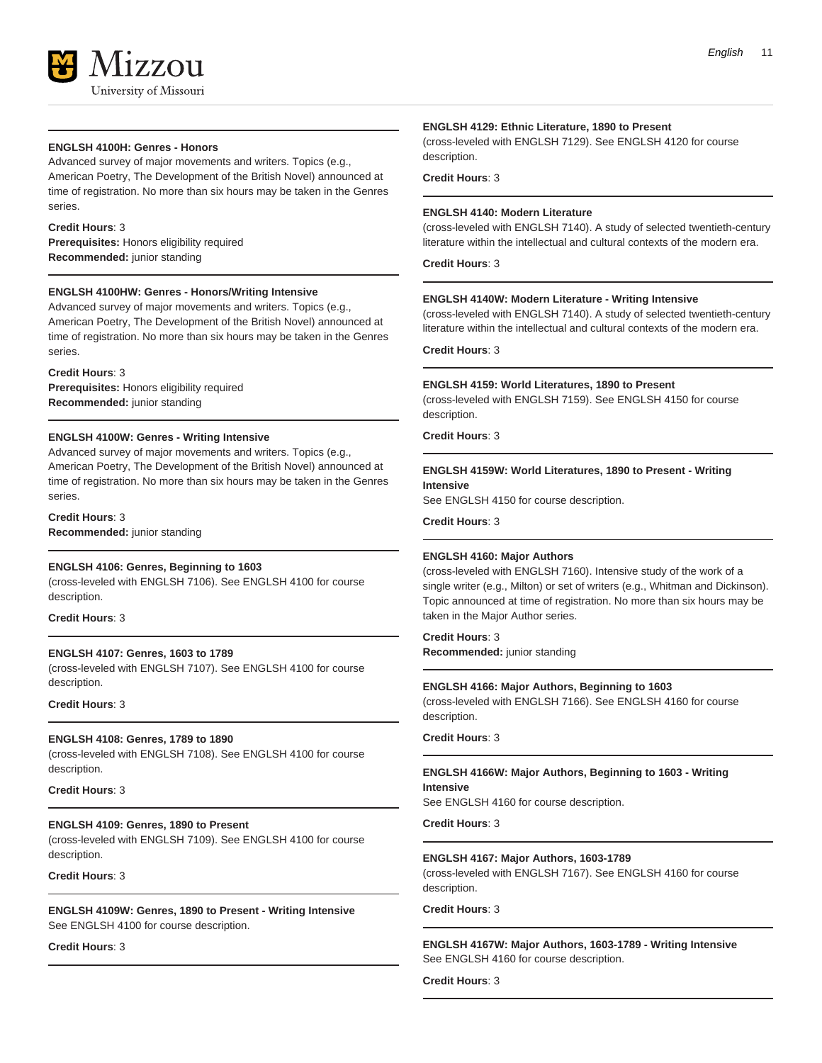

#### **ENGLSH 4100H: Genres - Honors**

Advanced survey of major movements and writers. Topics (e.g., American Poetry, The Development of the British Novel) announced at time of registration. No more than six hours may be taken in the Genres series.

#### **Credit Hours**: 3

**Prerequisites:** Honors eligibility required **Recommended:** junior standing

#### **ENGLSH 4100HW: Genres - Honors/Writing Intensive**

Advanced survey of major movements and writers. Topics (e.g., American Poetry, The Development of the British Novel) announced at time of registration. No more than six hours may be taken in the Genres series.

#### **Credit Hours**: 3

**Prerequisites:** Honors eligibility required **Recommended:** junior standing

#### **ENGLSH 4100W: Genres - Writing Intensive**

Advanced survey of major movements and writers. Topics (e.g., American Poetry, The Development of the British Novel) announced at time of registration. No more than six hours may be taken in the Genres series.

**Credit Hours**: 3 **Recommended:** junior standing

#### **ENGLSH 4106: Genres, Beginning to 1603**

(cross-leveled with ENGLSH 7106). See ENGLSH 4100 for course description.

**Credit Hours**: 3

#### **ENGLSH 4107: Genres, 1603 to 1789**

(cross-leveled with ENGLSH 7107). See ENGLSH 4100 for course description.

**Credit Hours**: 3

#### **ENGLSH 4108: Genres, 1789 to 1890**

(cross-leveled with ENGLSH 7108). See ENGLSH 4100 for course description.

**Credit Hours**: 3

#### **ENGLSH 4109: Genres, 1890 to Present**

(cross-leveled with ENGLSH 7109). See ENGLSH 4100 for course description.

#### **Credit Hours**: 3

**ENGLSH 4109W: Genres, 1890 to Present - Writing Intensive** See ENGLSH 4100 for course description.

**Credit Hours**: 3

#### **ENGLSH 4129: Ethnic Literature, 1890 to Present**

(cross-leveled with ENGLSH 7129). See ENGLSH 4120 for course description.

#### **Credit Hours**: 3

#### **ENGLSH 4140: Modern Literature**

(cross-leveled with ENGLSH 7140). A study of selected twentieth-century literature within the intellectual and cultural contexts of the modern era.

**Credit Hours**: 3

#### **ENGLSH 4140W: Modern Literature - Writing Intensive**

(cross-leveled with ENGLSH 7140). A study of selected twentieth-century literature within the intellectual and cultural contexts of the modern era.

**Credit Hours**: 3

#### **ENGLSH 4159: World Literatures, 1890 to Present**

(cross-leveled with ENGLSH 7159). See ENGLSH 4150 for course description.

**Credit Hours**: 3

#### **ENGLSH 4159W: World Literatures, 1890 to Present - Writing Intensive**

See ENGLSH 4150 for course description.

**Credit Hours**: 3

#### **ENGLSH 4160: Major Authors**

(cross-leveled with ENGLSH 7160). Intensive study of the work of a single writer (e.g., Milton) or set of writers (e.g., Whitman and Dickinson). Topic announced at time of registration. No more than six hours may be taken in the Major Author series.

**Credit Hours**: 3 **Recommended:** junior standing

#### **ENGLSH 4166: Major Authors, Beginning to 1603**

(cross-leveled with ENGLSH 7166). See ENGLSH 4160 for course description.

#### **Credit Hours**: 3

#### **ENGLSH 4166W: Major Authors, Beginning to 1603 - Writing Intensive**

See ENGLSH 4160 for course description.

**Credit Hours**: 3

#### **ENGLSH 4167: Major Authors, 1603-1789**

(cross-leveled with ENGLSH 7167). See ENGLSH 4160 for course description.

#### **Credit Hours**: 3

#### **ENGLSH 4167W: Major Authors, 1603-1789 - Writing Intensive** See ENGLSH 4160 for course description.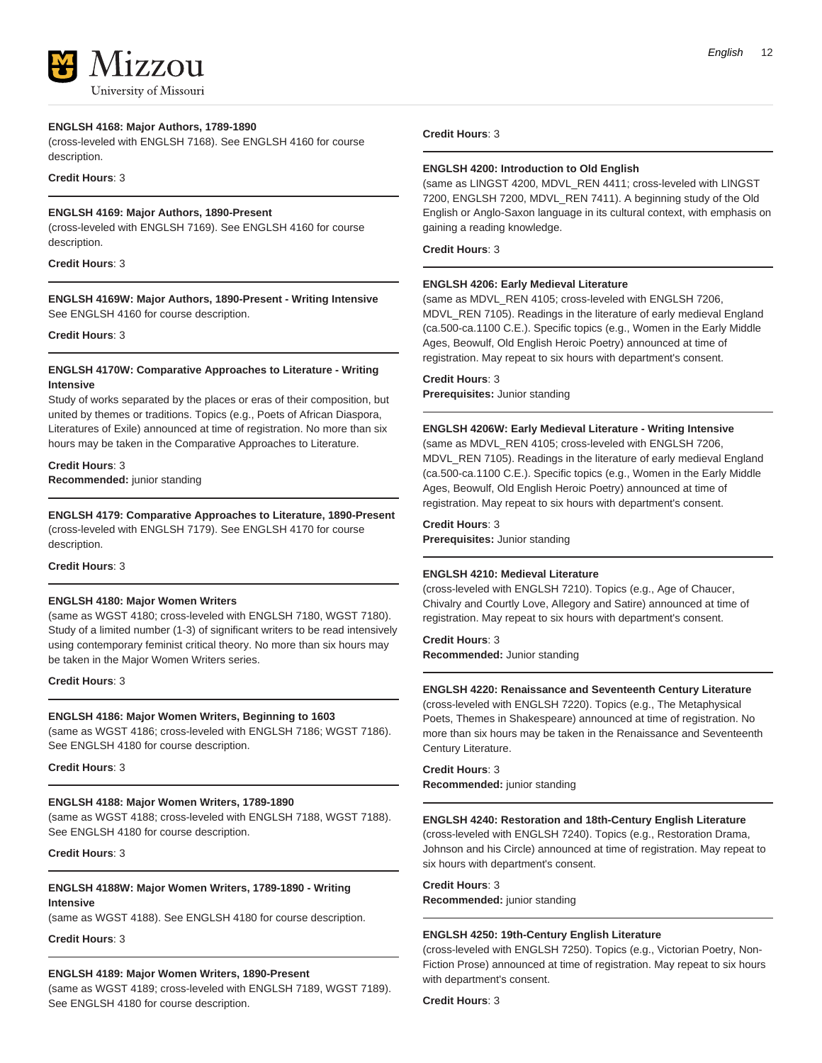

University of Missouri

#### **ENGLSH 4168: Major Authors, 1789-1890**

(cross-leveled with ENGLSH 7168). See ENGLSH 4160 for course description.

#### **Credit Hours**: 3

#### **ENGLSH 4169: Major Authors, 1890-Present**

(cross-leveled with ENGLSH 7169). See ENGLSH 4160 for course description.

#### **Credit Hours**: 3

**ENGLSH 4169W: Major Authors, 1890-Present - Writing Intensive** See ENGLSH 4160 for course description.

#### **Credit Hours**: 3

#### **ENGLSH 4170W: Comparative Approaches to Literature - Writing Intensive**

Study of works separated by the places or eras of their composition, but united by themes or traditions. Topics (e.g., Poets of African Diaspora, Literatures of Exile) announced at time of registration. No more than six hours may be taken in the Comparative Approaches to Literature.

#### **Credit Hours**: 3

**Recommended:** junior standing

**ENGLSH 4179: Comparative Approaches to Literature, 1890-Present** (cross-leveled with ENGLSH 7179). See ENGLSH 4170 for course description.

**Credit Hours**: 3

#### **ENGLSH 4180: Major Women Writers**

(same as WGST 4180; cross-leveled with ENGLSH 7180, WGST 7180). Study of a limited number (1-3) of significant writers to be read intensively using contemporary feminist critical theory. No more than six hours may be taken in the Major Women Writers series.

**Credit Hours**: 3

#### **ENGLSH 4186: Major Women Writers, Beginning to 1603**

(same as WGST 4186; cross-leveled with ENGLSH 7186; WGST 7186). See ENGLSH 4180 for course description.

**Credit Hours**: 3

#### **ENGLSH 4188: Major Women Writers, 1789-1890**

(same as WGST 4188; cross-leveled with ENGLSH 7188, WGST 7188). See ENGLSH 4180 for course description.

**Credit Hours**: 3

#### **ENGLSH 4188W: Major Women Writers, 1789-1890 - Writing Intensive**

(same as WGST 4188). See ENGLSH 4180 for course description.

**Credit Hours**: 3

#### **ENGLSH 4189: Major Women Writers, 1890-Present**

(same as WGST 4189; cross-leveled with ENGLSH 7189, WGST 7189). See ENGLSH 4180 for course description.

#### **Credit Hours**: 3

#### **ENGLSH 4200: Introduction to Old English**

(same as LINGST 4200, MDVL\_REN 4411; cross-leveled with LINGST 7200, ENGLSH 7200, MDVL\_REN 7411). A beginning study of the Old English or Anglo-Saxon language in its cultural context, with emphasis on gaining a reading knowledge.

**Credit Hours**: 3

#### **ENGLSH 4206: Early Medieval Literature**

(same as MDVL\_REN 4105; cross-leveled with ENGLSH 7206, MDVL\_REN 7105). Readings in the literature of early medieval England (ca.500-ca.1100 C.E.). Specific topics (e.g., Women in the Early Middle Ages, Beowulf, Old English Heroic Poetry) announced at time of registration. May repeat to six hours with department's consent.

#### **Credit Hours**: 3

**Prerequisites:** Junior standing

#### **ENGLSH 4206W: Early Medieval Literature - Writing Intensive**

(same as MDVL\_REN 4105; cross-leveled with ENGLSH 7206, MDVL\_REN 7105). Readings in the literature of early medieval England (ca.500-ca.1100 C.E.). Specific topics (e.g., Women in the Early Middle Ages, Beowulf, Old English Heroic Poetry) announced at time of registration. May repeat to six hours with department's consent.

#### **Credit Hours**: 3

**Prerequisites:** Junior standing

#### **ENGLSH 4210: Medieval Literature**

(cross-leveled with ENGLSH 7210). Topics (e.g., Age of Chaucer, Chivalry and Courtly Love, Allegory and Satire) announced at time of registration. May repeat to six hours with department's consent.

# **Credit Hours**: 3

**Recommended:** Junior standing

#### **ENGLSH 4220: Renaissance and Seventeenth Century Literature**

(cross-leveled with ENGLSH 7220). Topics (e.g., The Metaphysical Poets, Themes in Shakespeare) announced at time of registration. No more than six hours may be taken in the Renaissance and Seventeenth Century Literature.

**Credit Hours**: 3 **Recommended:** junior standing

#### **ENGLSH 4240: Restoration and 18th-Century English Literature**

(cross-leveled with ENGLSH 7240). Topics (e.g., Restoration Drama, Johnson and his Circle) announced at time of registration. May repeat to six hours with department's consent.

**Credit Hours**: 3

**Recommended:** junior standing

#### **ENGLSH 4250: 19th-Century English Literature**

(cross-leveled with ENGLSH 7250). Topics (e.g., Victorian Poetry, Non-Fiction Prose) announced at time of registration. May repeat to six hours with department's consent.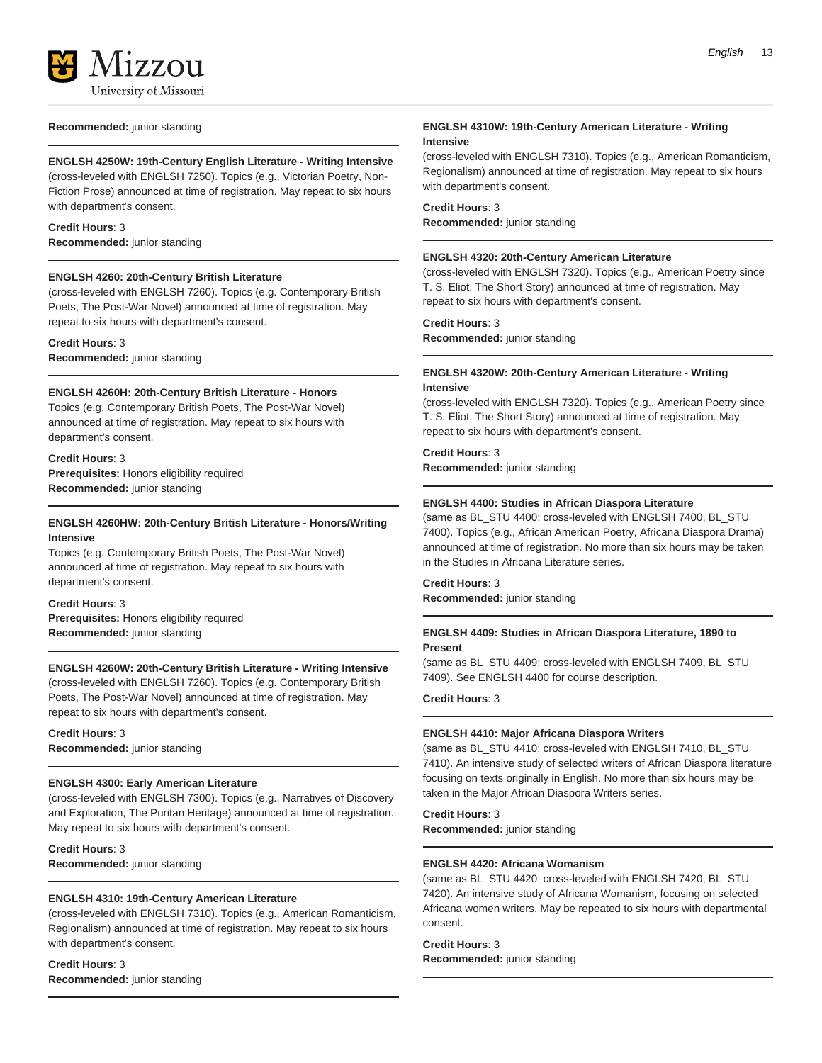

#### **Recommended:** junior standing

#### **ENGLSH 4250W: 19th-Century English Literature - Writing Intensive**

(cross-leveled with ENGLSH 7250). Topics (e.g., Victorian Poetry, Non-Fiction Prose) announced at time of registration. May repeat to six hours with department's consent.

#### **Credit Hours**: 3

**Recommended:** junior standing

#### **ENGLSH 4260: 20th-Century British Literature**

(cross-leveled with ENGLSH 7260). Topics (e.g. Contemporary British Poets, The Post-War Novel) announced at time of registration. May repeat to six hours with department's consent.

#### **Credit Hours**: 3

**Recommended:** junior standing

#### **ENGLSH 4260H: 20th-Century British Literature - Honors**

Topics (e.g. Contemporary British Poets, The Post-War Novel) announced at time of registration. May repeat to six hours with department's consent.

#### **Credit Hours**: 3

**Prerequisites:** Honors eligibility required **Recommended:** junior standing

#### **ENGLSH 4260HW: 20th-Century British Literature - Honors/Writing Intensive**

Topics (e.g. Contemporary British Poets, The Post-War Novel) announced at time of registration. May repeat to six hours with department's consent.

#### **Credit Hours**: 3

**Prerequisites:** Honors eligibility required **Recommended:** junior standing

#### **ENGLSH 4260W: 20th-Century British Literature - Writing Intensive**

(cross-leveled with ENGLSH 7260). Topics (e.g. Contemporary British Poets, The Post-War Novel) announced at time of registration. May repeat to six hours with department's consent.

#### **Credit Hours**: 3 **Recommended:** junior standing

#### **ENGLSH 4300: Early American Literature**

(cross-leveled with ENGLSH 7300). Topics (e.g., Narratives of Discovery and Exploration, The Puritan Heritage) announced at time of registration. May repeat to six hours with department's consent.

**Credit Hours**: 3 **Recommended:** junior standing

#### **ENGLSH 4310: 19th-Century American Literature**

(cross-leveled with ENGLSH 7310). Topics (e.g., American Romanticism, Regionalism) announced at time of registration. May repeat to six hours with department's consent.

# **Credit Hours**: 3

**Recommended:** junior standing

#### **ENGLSH 4310W: 19th-Century American Literature - Writing Intensive**

(cross-leveled with ENGLSH 7310). Topics (e.g., American Romanticism, Regionalism) announced at time of registration. May repeat to six hours with department's consent.

#### **Credit Hours**: 3

**Recommended:** junior standing

#### **ENGLSH 4320: 20th-Century American Literature**

(cross-leveled with ENGLSH 7320). Topics (e.g., American Poetry since T. S. Eliot, The Short Story) announced at time of registration. May repeat to six hours with department's consent.

#### **Credit Hours**: 3

**Recommended:** junior standing

#### **ENGLSH 4320W: 20th-Century American Literature - Writing Intensive**

(cross-leveled with ENGLSH 7320). Topics (e.g., American Poetry since T. S. Eliot, The Short Story) announced at time of registration. May repeat to six hours with department's consent.

#### **Credit Hours**: 3

**Recommended:** junior standing

#### **ENGLSH 4400: Studies in African Diaspora Literature**

(same as BL\_STU 4400; cross-leveled with ENGLSH 7400, BL\_STU 7400). Topics (e.g., African American Poetry, Africana Diaspora Drama) announced at time of registration. No more than six hours may be taken in the Studies in Africana Literature series.

#### **Credit Hours**: 3

**Recommended:** junior standing

#### **ENGLSH 4409: Studies in African Diaspora Literature, 1890 to Present**

(same as BL\_STU 4409; cross-leveled with ENGLSH 7409, BL\_STU 7409). See ENGLSH 4400 for course description.

#### **Credit Hours**: 3

#### **ENGLSH 4410: Major Africana Diaspora Writers**

(same as BL\_STU 4410; cross-leveled with ENGLSH 7410, BL\_STU 7410). An intensive study of selected writers of African Diaspora literature focusing on texts originally in English. No more than six hours may be taken in the Major African Diaspora Writers series.

**Credit Hours**: 3 **Recommended:** junior standing

#### **ENGLSH 4420: Africana Womanism**

(same as BL\_STU 4420; cross-leveled with ENGLSH 7420, BL\_STU 7420). An intensive study of Africana Womanism, focusing on selected Africana women writers. May be repeated to six hours with departmental consent.

#### **Credit Hours**: 3

**Recommended:** junior standing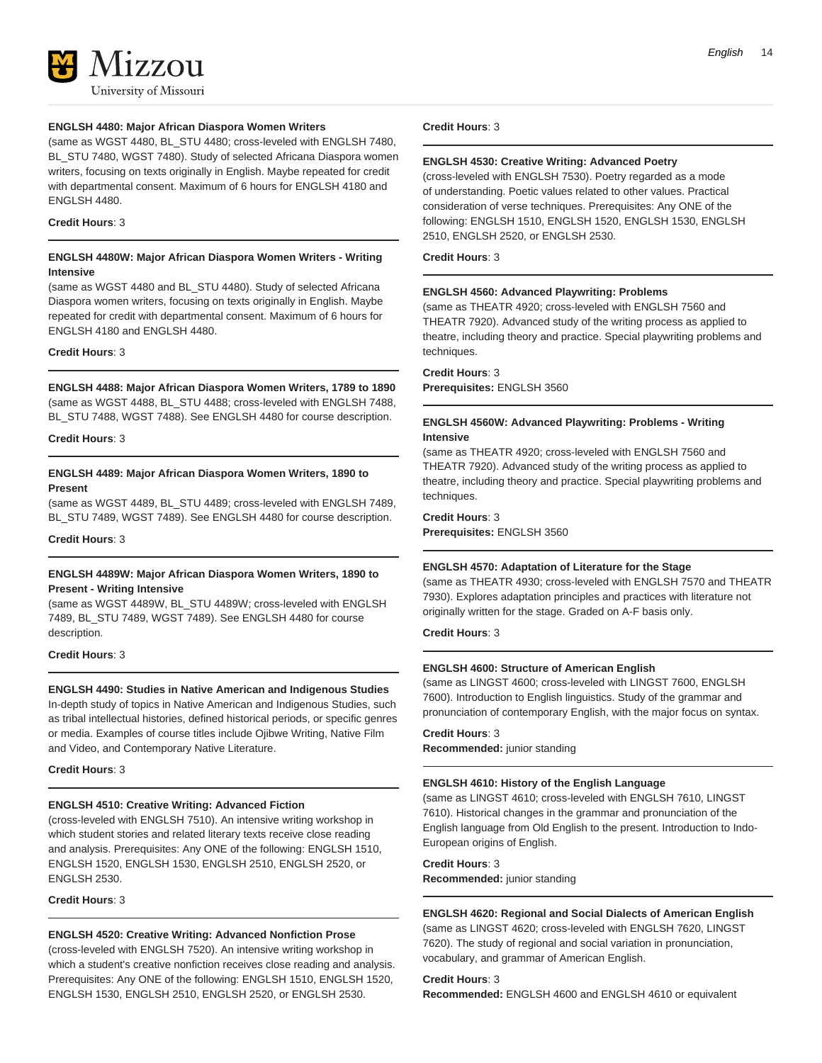

#### **ENGLSH 4480: Major African Diaspora Women Writers**

(same as WGST 4480, BL\_STU 4480; cross-leveled with ENGLSH 7480, BL\_STU 7480, WGST 7480). Study of selected Africana Diaspora women writers, focusing on texts originally in English. Maybe repeated for credit with departmental consent. Maximum of 6 hours for ENGLSH 4180 and ENGLSH 4480.

#### **Credit Hours**: 3

#### **ENGLSH 4480W: Major African Diaspora Women Writers - Writing Intensive**

(same as WGST 4480 and BL\_STU 4480). Study of selected Africana Diaspora women writers, focusing on texts originally in English. Maybe repeated for credit with departmental consent. Maximum of 6 hours for ENGLSH 4180 and ENGLSH 4480.

#### **Credit Hours**: 3

#### **ENGLSH 4488: Major African Diaspora Women Writers, 1789 to 1890**

(same as WGST 4488, BL\_STU 4488; cross-leveled with ENGLSH 7488, BL\_STU 7488, WGST 7488). See ENGLSH 4480 for course description.

**Credit Hours**: 3

#### **ENGLSH 4489: Major African Diaspora Women Writers, 1890 to Present**

(same as WGST 4489, BL\_STU 4489; cross-leveled with ENGLSH 7489, BL\_STU 7489, WGST 7489). See ENGLSH 4480 for course description.

**Credit Hours**: 3

#### **ENGLSH 4489W: Major African Diaspora Women Writers, 1890 to Present - Writing Intensive**

(same as WGST 4489W, BL\_STU 4489W; cross-leveled with ENGLSH 7489, BL\_STU 7489, WGST 7489). See ENGLSH 4480 for course description.

**Credit Hours**: 3

#### **ENGLSH 4490: Studies in Native American and Indigenous Studies**

In-depth study of topics in Native American and Indigenous Studies, such as tribal intellectual histories, defined historical periods, or specific genres or media. Examples of course titles include Ojibwe Writing, Native Film and Video, and Contemporary Native Literature.

#### **Credit Hours**: 3

#### **ENGLSH 4510: Creative Writing: Advanced Fiction**

(cross-leveled with ENGLSH 7510). An intensive writing workshop in which student stories and related literary texts receive close reading and analysis. Prerequisites: Any ONE of the following: ENGLSH 1510, ENGLSH 1520, ENGLSH 1530, ENGLSH 2510, ENGLSH 2520, or ENGLSH 2530.

**Credit Hours**: 3

#### **ENGLSH 4520: Creative Writing: Advanced Nonfiction Prose**

(cross-leveled with ENGLSH 7520). An intensive writing workshop in which a student's creative nonfiction receives close reading and analysis. Prerequisites: Any ONE of the following: ENGLSH 1510, ENGLSH 1520, ENGLSH 1530, ENGLSH 2510, ENGLSH 2520, or ENGLSH 2530.

#### **Credit Hours**: 3

#### **ENGLSH 4530: Creative Writing: Advanced Poetry**

(cross-leveled with ENGLSH 7530). Poetry regarded as a mode of understanding. Poetic values related to other values. Practical consideration of verse techniques. Prerequisites: Any ONE of the following: ENGLSH 1510, ENGLSH 1520, ENGLSH 1530, ENGLSH 2510, ENGLSH 2520, or ENGLSH 2530.

**Credit Hours**: 3

#### **ENGLSH 4560: Advanced Playwriting: Problems**

(same as THEATR 4920; cross-leveled with ENGLSH 7560 and THEATR 7920). Advanced study of the writing process as applied to theatre, including theory and practice. Special playwriting problems and techniques.

**Credit Hours**: 3

**Prerequisites:** ENGLSH 3560

#### **ENGLSH 4560W: Advanced Playwriting: Problems - Writing Intensive**

(same as THEATR 4920; cross-leveled with ENGLSH 7560 and THEATR 7920). Advanced study of the writing process as applied to theatre, including theory and practice. Special playwriting problems and techniques.

**Credit Hours**: 3 **Prerequisites:** ENGLSH 3560

#### **ENGLSH 4570: Adaptation of Literature for the Stage**

(same as THEATR 4930; cross-leveled with ENGLSH 7570 and THEATR 7930). Explores adaptation principles and practices with literature not originally written for the stage. Graded on A-F basis only.

**Credit Hours**: 3

#### **ENGLSH 4600: Structure of American English**

(same as LINGST 4600; cross-leveled with LINGST 7600, ENGLSH 7600). Introduction to English linguistics. Study of the grammar and pronunciation of contemporary English, with the major focus on syntax.

#### **Credit Hours**: 3

**Recommended:** junior standing

#### **ENGLSH 4610: History of the English Language**

(same as LINGST 4610; cross-leveled with ENGLSH 7610, LINGST 7610). Historical changes in the grammar and pronunciation of the English language from Old English to the present. Introduction to Indo-European origins of English.

#### **Credit Hours**: 3

**Recommended:** junior standing

#### **ENGLSH 4620: Regional and Social Dialects of American English**

(same as LINGST 4620; cross-leveled with ENGLSH 7620, LINGST 7620). The study of regional and social variation in pronunciation, vocabulary, and grammar of American English.

**Credit Hours**: 3

**Recommended:** ENGLSH 4600 and ENGLSH 4610 or equivalent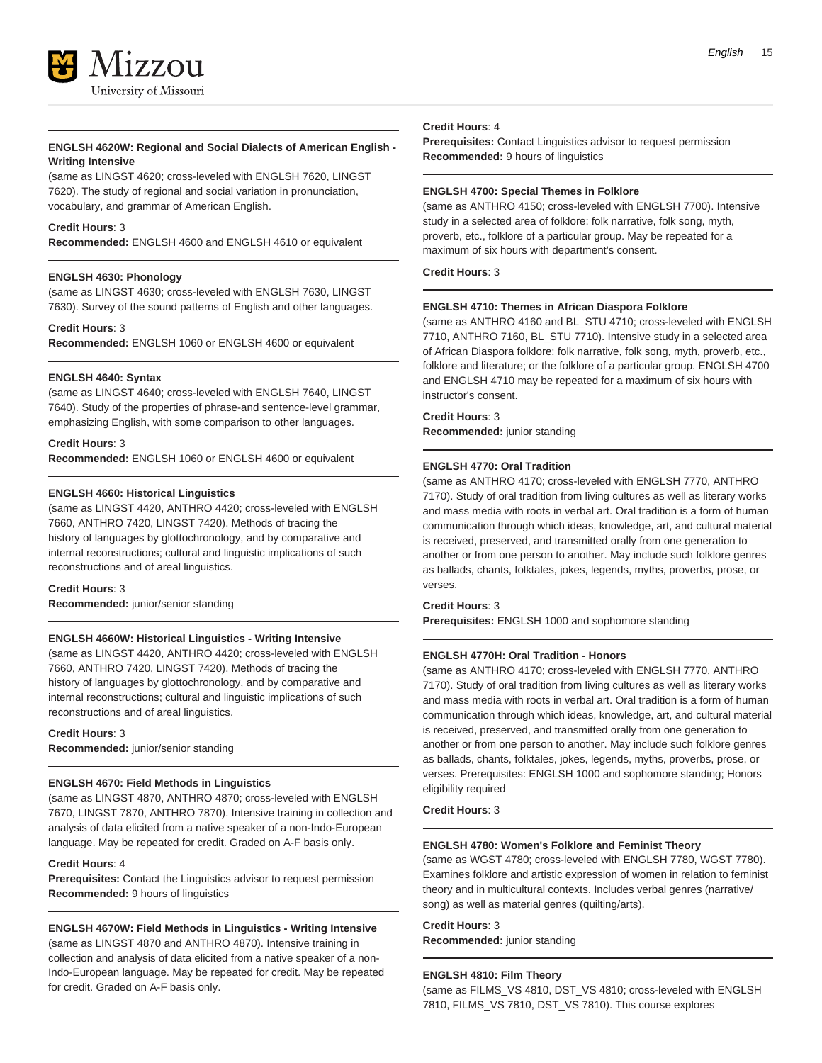

#### **ENGLSH 4620W: Regional and Social Dialects of American English - Writing Intensive**

(same as LINGST 4620; cross-leveled with ENGLSH 7620, LINGST 7620). The study of regional and social variation in pronunciation, vocabulary, and grammar of American English.

#### **Credit Hours**: 3

**Recommended:** ENGLSH 4600 and ENGLSH 4610 or equivalent

#### **ENGLSH 4630: Phonology**

(same as LINGST 4630; cross-leveled with ENGLSH 7630, LINGST 7630). Survey of the sound patterns of English and other languages.

#### **Credit Hours**: 3

**Recommended:** ENGLSH 1060 or ENGLSH 4600 or equivalent

#### **ENGLSH 4640: Syntax**

(same as LINGST 4640; cross-leveled with ENGLSH 7640, LINGST 7640). Study of the properties of phrase-and sentence-level grammar, emphasizing English, with some comparison to other languages.

#### **Credit Hours**: 3

**Recommended:** ENGLSH 1060 or ENGLSH 4600 or equivalent

#### **ENGLSH 4660: Historical Linguistics**

(same as LINGST 4420, ANTHRO 4420; cross-leveled with ENGLSH 7660, ANTHRO 7420, LINGST 7420). Methods of tracing the history of languages by glottochronology, and by comparative and internal reconstructions; cultural and linguistic implications of such reconstructions and of areal linguistics.

#### **Credit Hours**: 3

**Recommended:** junior/senior standing

#### **ENGLSH 4660W: Historical Linguistics - Writing Intensive**

(same as LINGST 4420, ANTHRO 4420; cross-leveled with ENGLSH 7660, ANTHRO 7420, LINGST 7420). Methods of tracing the history of languages by glottochronology, and by comparative and internal reconstructions; cultural and linguistic implications of such reconstructions and of areal linguistics.

**Credit Hours**: 3 **Recommended:** junior/senior standing

#### **ENGLSH 4670: Field Methods in Linguistics**

(same as LINGST 4870, ANTHRO 4870; cross-leveled with ENGLSH 7670, LINGST 7870, ANTHRO 7870). Intensive training in collection and analysis of data elicited from a native speaker of a non-Indo-European language. May be repeated for credit. Graded on A-F basis only.

#### **Credit Hours**: 4

**Prerequisites:** Contact the Linguistics advisor to request permission **Recommended:** 9 hours of linguistics

#### **ENGLSH 4670W: Field Methods in Linguistics - Writing Intensive**

(same as LINGST 4870 and ANTHRO 4870). Intensive training in collection and analysis of data elicited from a native speaker of a non-Indo-European language. May be repeated for credit. May be repeated for credit. Graded on A-F basis only.

#### **Credit Hours**: 4

**Prerequisites:** Contact Linguistics advisor to request permission **Recommended:** 9 hours of linguistics

#### **ENGLSH 4700: Special Themes in Folklore**

(same as ANTHRO 4150; cross-leveled with ENGLSH 7700). Intensive study in a selected area of folklore: folk narrative, folk song, myth, proverb, etc., folklore of a particular group. May be repeated for a maximum of six hours with department's consent.

#### **Credit Hours**: 3

#### **ENGLSH 4710: Themes in African Diaspora Folklore**

(same as ANTHRO 4160 and BL\_STU 4710; cross-leveled with ENGLSH 7710, ANTHRO 7160, BL\_STU 7710). Intensive study in a selected area of African Diaspora folklore: folk narrative, folk song, myth, proverb, etc., folklore and literature; or the folklore of a particular group. ENGLSH 4700 and ENGLSH 4710 may be repeated for a maximum of six hours with instructor's consent.

### **Credit Hours**: 3

**Recommended:** junior standing

#### **ENGLSH 4770: Oral Tradition**

(same as ANTHRO 4170; cross-leveled with ENGLSH 7770, ANTHRO 7170). Study of oral tradition from living cultures as well as literary works and mass media with roots in verbal art. Oral tradition is a form of human communication through which ideas, knowledge, art, and cultural material is received, preserved, and transmitted orally from one generation to another or from one person to another. May include such folklore genres as ballads, chants, folktales, jokes, legends, myths, proverbs, prose, or verses.

#### **Credit Hours**: 3

**Prerequisites:** ENGLSH 1000 and sophomore standing

#### **ENGLSH 4770H: Oral Tradition - Honors**

(same as ANTHRO 4170; cross-leveled with ENGLSH 7770, ANTHRO 7170). Study of oral tradition from living cultures as well as literary works and mass media with roots in verbal art. Oral tradition is a form of human communication through which ideas, knowledge, art, and cultural material is received, preserved, and transmitted orally from one generation to another or from one person to another. May include such folklore genres as ballads, chants, folktales, jokes, legends, myths, proverbs, prose, or verses. Prerequisites: ENGLSH 1000 and sophomore standing; Honors eligibility required

#### **Credit Hours**: 3

#### **ENGLSH 4780: Women's Folklore and Feminist Theory**

(same as WGST 4780; cross-leveled with ENGLSH 7780, WGST 7780). Examines folklore and artistic expression of women in relation to feminist theory and in multicultural contexts. Includes verbal genres (narrative/ song) as well as material genres (quilting/arts).

# **Credit Hours**: 3

**Recommended:** junior standing

#### **ENGLSH 4810: Film Theory**

(same as FILMS\_VS 4810, DST\_VS 4810; cross-leveled with ENGLSH 7810, FILMS\_VS 7810, DST\_VS 7810). This course explores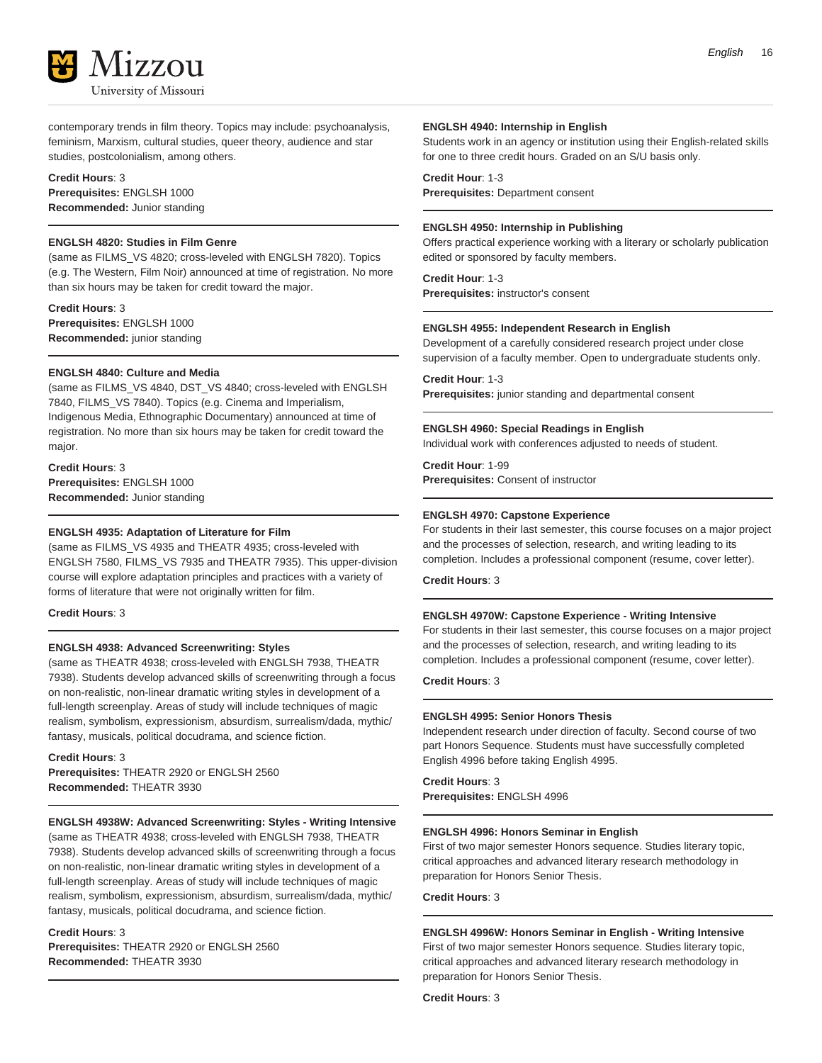

contemporary trends in film theory. Topics may include: psychoanalysis, feminism, Marxism, cultural studies, queer theory, audience and star studies, postcolonialism, among others.

#### **Credit Hours**: 3

**Prerequisites:** ENGLSH 1000 **Recommended:** Junior standing

#### **ENGLSH 4820: Studies in Film Genre**

(same as FILMS\_VS 4820; cross-leveled with ENGLSH 7820). Topics (e.g. The Western, Film Noir) announced at time of registration. No more than six hours may be taken for credit toward the major.

**Credit Hours**: 3 **Prerequisites:** ENGLSH 1000 **Recommended:** junior standing

#### **ENGLSH 4840: Culture and Media**

(same as FILMS\_VS 4840, DST\_VS 4840; cross-leveled with ENGLSH 7840, FILMS\_VS 7840). Topics (e.g. Cinema and Imperialism, Indigenous Media, Ethnographic Documentary) announced at time of registration. No more than six hours may be taken for credit toward the major.

**Credit Hours**: 3 **Prerequisites:** ENGLSH 1000 **Recommended:** Junior standing

#### **ENGLSH 4935: Adaptation of Literature for Film**

(same as FILMS\_VS 4935 and THEATR 4935; cross-leveled with ENGLSH 7580, FILMS\_VS 7935 and THEATR 7935). This upper-division course will explore adaptation principles and practices with a variety of forms of literature that were not originally written for film.

#### **Credit Hours**: 3

#### **ENGLSH 4938: Advanced Screenwriting: Styles**

(same as THEATR 4938; cross-leveled with ENGLSH 7938, THEATR 7938). Students develop advanced skills of screenwriting through a focus on non-realistic, non-linear dramatic writing styles in development of a full-length screenplay. Areas of study will include techniques of magic realism, symbolism, expressionism, absurdism, surrealism/dada, mythic/ fantasy, musicals, political docudrama, and science fiction.

**Credit Hours**: 3 **Prerequisites:** THEATR 2920 or ENGLSH 2560

**Recommended:** THEATR 3930

#### **ENGLSH 4938W: Advanced Screenwriting: Styles - Writing Intensive**

(same as THEATR 4938; cross-leveled with ENGLSH 7938, THEATR 7938). Students develop advanced skills of screenwriting through a focus on non-realistic, non-linear dramatic writing styles in development of a full-length screenplay. Areas of study will include techniques of magic realism, symbolism, expressionism, absurdism, surrealism/dada, mythic/ fantasy, musicals, political docudrama, and science fiction.

#### **Credit Hours**: 3

**Prerequisites:** THEATR 2920 or ENGLSH 2560 **Recommended:** THEATR 3930

#### **ENGLSH 4940: Internship in English**

Students work in an agency or institution using their English-related skills for one to three credit hours. Graded on an S/U basis only.

#### **Credit Hour**: 1-3

**Prerequisites:** Department consent

#### **ENGLSH 4950: Internship in Publishing**

Offers practical experience working with a literary or scholarly publication edited or sponsored by faculty members.

**Credit Hour**: 1-3

**Prerequisites:** instructor's consent

#### **ENGLSH 4955: Independent Research in English**

Development of a carefully considered research project under close supervision of a faculty member. Open to undergraduate students only.

#### **Credit Hour**: 1-3

**Prerequisites:** junior standing and departmental consent

#### **ENGLSH 4960: Special Readings in English**

Individual work with conferences adjusted to needs of student.

**Credit Hour**: 1-99 **Prerequisites:** Consent of instructor

#### **ENGLSH 4970: Capstone Experience**

For students in their last semester, this course focuses on a major project and the processes of selection, research, and writing leading to its completion. Includes a professional component (resume, cover letter).

**Credit Hours**: 3

#### **ENGLSH 4970W: Capstone Experience - Writing Intensive**

For students in their last semester, this course focuses on a major project and the processes of selection, research, and writing leading to its completion. Includes a professional component (resume, cover letter).

**Credit Hours**: 3

#### **ENGLSH 4995: Senior Honors Thesis**

Independent research under direction of faculty. Second course of two part Honors Sequence. Students must have successfully completed English 4996 before taking English 4995.

**Credit Hours**: 3 **Prerequisites:** ENGLSH 4996

#### **ENGLSH 4996: Honors Seminar in English**

First of two major semester Honors sequence. Studies literary topic, critical approaches and advanced literary research methodology in preparation for Honors Senior Thesis.

**Credit Hours**: 3

#### **ENGLSH 4996W: Honors Seminar in English - Writing Intensive** First of two major semester Honors sequence. Studies literary topic, critical approaches and advanced literary research methodology in preparation for Honors Senior Thesis.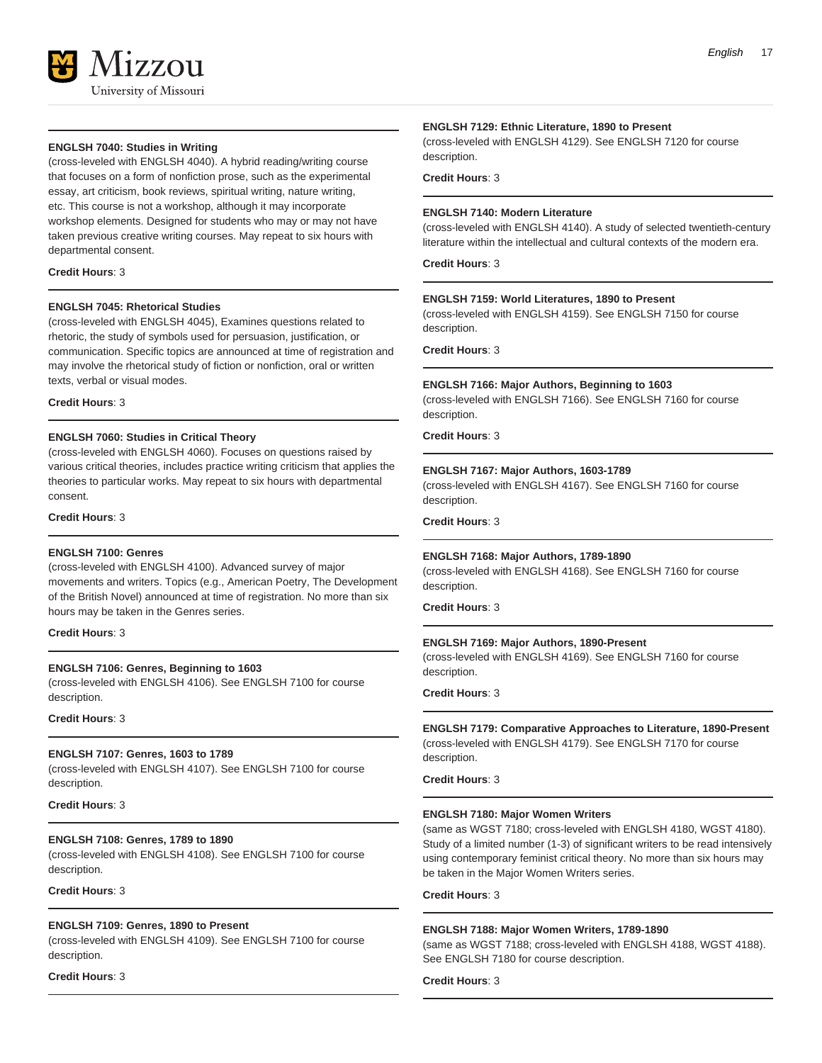

#### **ENGLSH 7040: Studies in Writing**

(cross-leveled with ENGLSH 4040). A hybrid reading/writing course that focuses on a form of nonfiction prose, such as the experimental essay, art criticism, book reviews, spiritual writing, nature writing, etc. This course is not a workshop, although it may incorporate workshop elements. Designed for students who may or may not have taken previous creative writing courses. May repeat to six hours with departmental consent.

#### **Credit Hours**: 3

#### **ENGLSH 7045: Rhetorical Studies**

(cross-leveled with ENGLSH 4045), Examines questions related to rhetoric, the study of symbols used for persuasion, justification, or communication. Specific topics are announced at time of registration and may involve the rhetorical study of fiction or nonfiction, oral or written texts, verbal or visual modes.

#### **Credit Hours**: 3

#### **ENGLSH 7060: Studies in Critical Theory**

(cross-leveled with ENGLSH 4060). Focuses on questions raised by various critical theories, includes practice writing criticism that applies the theories to particular works. May repeat to six hours with departmental consent.

#### **Credit Hours**: 3

#### **ENGLSH 7100: Genres**

(cross-leveled with ENGLSH 4100). Advanced survey of major movements and writers. Topics (e.g., American Poetry, The Development of the British Novel) announced at time of registration. No more than six hours may be taken in the Genres series.

**Credit Hours**: 3

#### **ENGLSH 7106: Genres, Beginning to 1603**

(cross-leveled with ENGLSH 4106). See ENGLSH 7100 for course description.

**Credit Hours**: 3

#### **ENGLSH 7107: Genres, 1603 to 1789**

(cross-leveled with ENGLSH 4107). See ENGLSH 7100 for course description.

**Credit Hours**: 3

#### **ENGLSH 7108: Genres, 1789 to 1890**

(cross-leveled with ENGLSH 4108). See ENGLSH 7100 for course description.

#### **Credit Hours**: 3

#### **ENGLSH 7109: Genres, 1890 to Present**

(cross-leveled with ENGLSH 4109). See ENGLSH 7100 for course description.

#### **Credit Hours**: 3

#### **ENGLSH 7129: Ethnic Literature, 1890 to Present**

(cross-leveled with ENGLSH 4129). See ENGLSH 7120 for course description.

#### **Credit Hours**: 3

#### **ENGLSH 7140: Modern Literature**

(cross-leveled with ENGLSH 4140). A study of selected twentieth-century literature within the intellectual and cultural contexts of the modern era.

**Credit Hours**: 3

#### **ENGLSH 7159: World Literatures, 1890 to Present**

(cross-leveled with ENGLSH 4159). See ENGLSH 7150 for course description.

**Credit Hours**: 3

#### **ENGLSH 7166: Major Authors, Beginning to 1603**

(cross-leveled with ENGLSH 7166). See ENGLSH 7160 for course description.

**Credit Hours**: 3

#### **ENGLSH 7167: Major Authors, 1603-1789**

(cross-leveled with ENGLSH 4167). See ENGLSH 7160 for course description.

**Credit Hours**: 3

#### **ENGLSH 7168: Major Authors, 1789-1890**

(cross-leveled with ENGLSH 4168). See ENGLSH 7160 for course description.

**Credit Hours**: 3

#### **ENGLSH 7169: Major Authors, 1890-Present**

(cross-leveled with ENGLSH 4169). See ENGLSH 7160 for course description.

**Credit Hours**: 3

#### **ENGLSH 7179: Comparative Approaches to Literature, 1890-Present** (cross-leveled with ENGLSH 4179). See ENGLSH 7170 for course description.

**Credit Hours**: 3

#### **ENGLSH 7180: Major Women Writers**

(same as WGST 7180; cross-leveled with ENGLSH 4180, WGST 4180). Study of a limited number (1-3) of significant writers to be read intensively using contemporary feminist critical theory. No more than six hours may be taken in the Major Women Writers series.

**Credit Hours**: 3

#### **ENGLSH 7188: Major Women Writers, 1789-1890**

(same as WGST 7188; cross-leveled with ENGLSH 4188, WGST 4188). See ENGLSH 7180 for course description.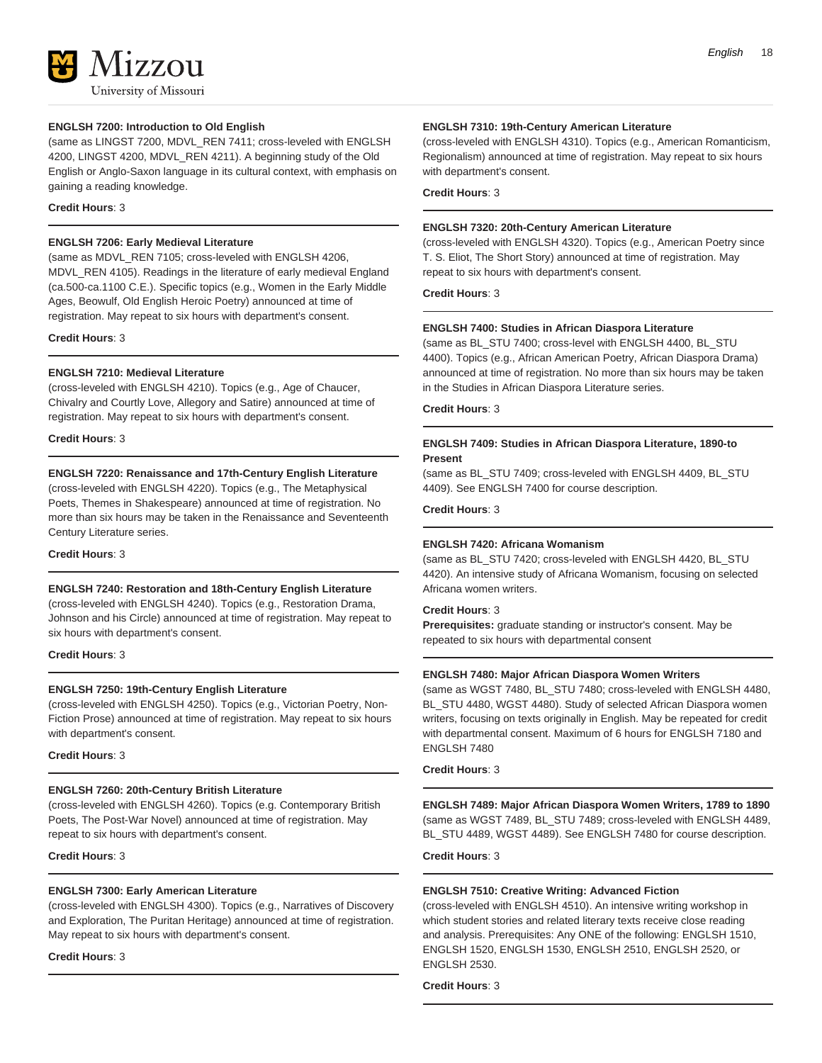#### **ENGLSH 7200: Introduction to Old English**

(same as LINGST 7200, MDVL\_REN 7411; cross-leveled with ENGLSH 4200, LINGST 4200, MDVL\_REN 4211). A beginning study of the Old English or Anglo-Saxon language in its cultural context, with emphasis on gaining a reading knowledge.

#### **Credit Hours**: 3

#### **ENGLSH 7206: Early Medieval Literature**

(same as MDVL\_REN 7105; cross-leveled with ENGLSH 4206, MDVL\_REN 4105). Readings in the literature of early medieval England (ca.500-ca.1100 C.E.). Specific topics (e.g., Women in the Early Middle Ages, Beowulf, Old English Heroic Poetry) announced at time of registration. May repeat to six hours with department's consent.

**Credit Hours**: 3

#### **ENGLSH 7210: Medieval Literature**

(cross-leveled with ENGLSH 4210). Topics (e.g., Age of Chaucer, Chivalry and Courtly Love, Allegory and Satire) announced at time of registration. May repeat to six hours with department's consent.

**Credit Hours**: 3

#### **ENGLSH 7220: Renaissance and 17th-Century English Literature**

(cross-leveled with ENGLSH 4220). Topics (e.g., The Metaphysical Poets, Themes in Shakespeare) announced at time of registration. No more than six hours may be taken in the Renaissance and Seventeenth Century Literature series.

**Credit Hours**: 3

#### **ENGLSH 7240: Restoration and 18th-Century English Literature**

(cross-leveled with ENGLSH 4240). Topics (e.g., Restoration Drama, Johnson and his Circle) announced at time of registration. May repeat to six hours with department's consent.

#### **Credit Hours**: 3

#### **ENGLSH 7250: 19th-Century English Literature**

(cross-leveled with ENGLSH 4250). Topics (e.g., Victorian Poetry, Non-Fiction Prose) announced at time of registration. May repeat to six hours with department's consent.

#### **Credit Hours**: 3

#### **ENGLSH 7260: 20th-Century British Literature**

(cross-leveled with ENGLSH 4260). Topics (e.g. Contemporary British Poets, The Post-War Novel) announced at time of registration. May repeat to six hours with department's consent.

#### **Credit Hours**: 3

#### **ENGLSH 7300: Early American Literature**

(cross-leveled with ENGLSH 4300). Topics (e.g., Narratives of Discovery and Exploration, The Puritan Heritage) announced at time of registration. May repeat to six hours with department's consent.

#### **Credit Hours**: 3

(cross-leveled with ENGLSH 4310). Topics (e.g., American Romanticism, Regionalism) announced at time of registration. May repeat to six hours with department's consent.

**Credit Hours**: 3

#### **ENGLSH 7320: 20th-Century American Literature**

(cross-leveled with ENGLSH 4320). Topics (e.g., American Poetry since T. S. Eliot, The Short Story) announced at time of registration. May repeat to six hours with department's consent.

**Credit Hours**: 3

#### **ENGLSH 7400: Studies in African Diaspora Literature**

(same as BL\_STU 7400; cross-level with ENGLSH 4400, BL\_STU 4400). Topics (e.g., African American Poetry, African Diaspora Drama) announced at time of registration. No more than six hours may be taken in the Studies in African Diaspora Literature series.

**Credit Hours**: 3

#### **ENGLSH 7409: Studies in African Diaspora Literature, 1890-to Present**

(same as BL\_STU 7409; cross-leveled with ENGLSH 4409, BL\_STU 4409). See ENGLSH 7400 for course description.

#### **Credit Hours**: 3

#### **ENGLSH 7420: Africana Womanism**

(same as BL\_STU 7420; cross-leveled with ENGLSH 4420, BL\_STU 4420). An intensive study of Africana Womanism, focusing on selected Africana women writers.

#### **Credit Hours**: 3

**Prerequisites:** graduate standing or instructor's consent. May be repeated to six hours with departmental consent

#### **ENGLSH 7480: Major African Diaspora Women Writers**

(same as WGST 7480, BL\_STU 7480; cross-leveled with ENGLSH 4480, BL\_STU 4480, WGST 4480). Study of selected African Diaspora women writers, focusing on texts originally in English. May be repeated for credit with departmental consent. Maximum of 6 hours for ENGLSH 7180 and ENGLSH 7480

**Credit Hours**: 3

**ENGLSH 7489: Major African Diaspora Women Writers, 1789 to 1890** (same as WGST 7489, BL\_STU 7489; cross-leveled with ENGLSH 4489, BL\_STU 4489, WGST 4489). See ENGLSH 7480 for course description.

#### **Credit Hours**: 3

#### **ENGLSH 7510: Creative Writing: Advanced Fiction**

(cross-leveled with ENGLSH 4510). An intensive writing workshop in which student stories and related literary texts receive close reading and analysis. Prerequisites: Any ONE of the following: ENGLSH 1510, ENGLSH 1520, ENGLSH 1530, ENGLSH 2510, ENGLSH 2520, or ENGLSH 2530.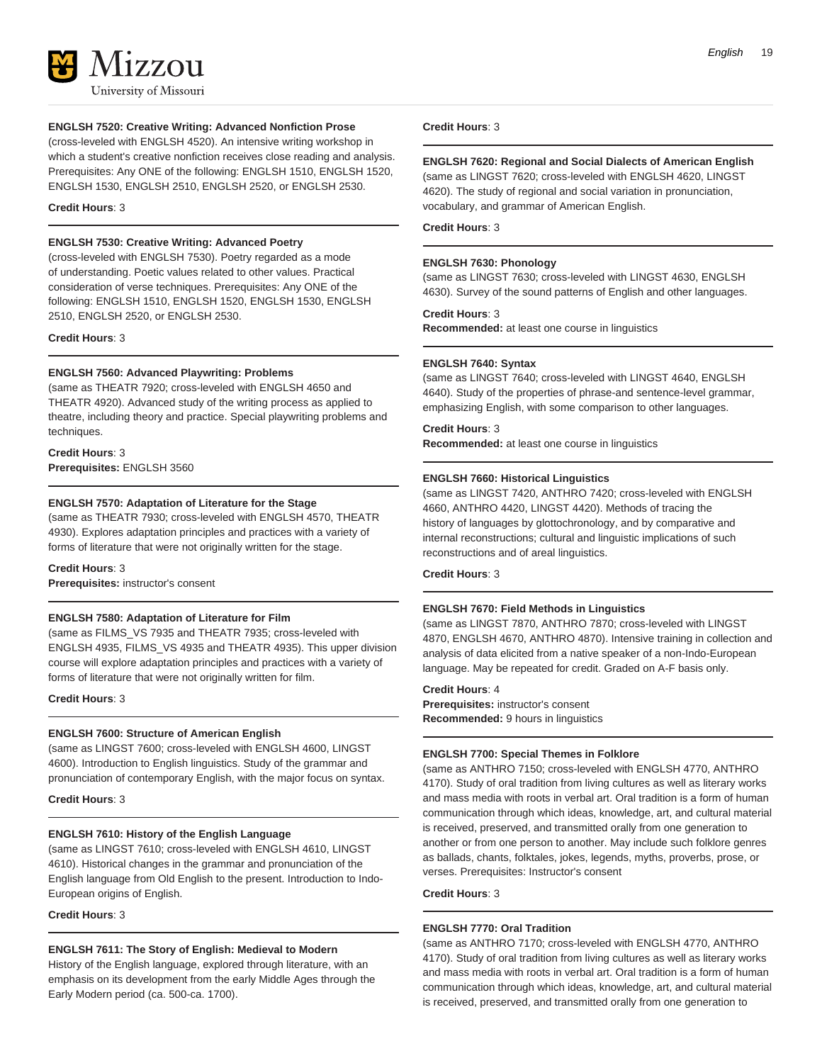

#### **ENGLSH 7520: Creative Writing: Advanced Nonfiction Prose**

(cross-leveled with ENGLSH 4520). An intensive writing workshop in which a student's creative nonfiction receives close reading and analysis. Prerequisites: Any ONE of the following: ENGLSH 1510, ENGLSH 1520, ENGLSH 1530, ENGLSH 2510, ENGLSH 2520, or ENGLSH 2530.

**Credit Hours**: 3

#### **ENGLSH 7530: Creative Writing: Advanced Poetry**

(cross-leveled with ENGLSH 7530). Poetry regarded as a mode of understanding. Poetic values related to other values. Practical consideration of verse techniques. Prerequisites: Any ONE of the following: ENGLSH 1510, ENGLSH 1520, ENGLSH 1530, ENGLSH 2510, ENGLSH 2520, or ENGLSH 2530.

**Credit Hours**: 3

#### **ENGLSH 7560: Advanced Playwriting: Problems**

(same as THEATR 7920; cross-leveled with ENGLSH 4650 and THEATR 4920). Advanced study of the writing process as applied to theatre, including theory and practice. Special playwriting problems and techniques.

#### **Credit Hours**: 3 **Prerequisites:** ENGLSH 3560

#### **ENGLSH 7570: Adaptation of Literature for the Stage**

(same as THEATR 7930; cross-leveled with ENGLSH 4570, THEATR 4930). Explores adaptation principles and practices with a variety of forms of literature that were not originally written for the stage.

#### **Credit Hours**: 3

**Prerequisites:** instructor's consent

#### **ENGLSH 7580: Adaptation of Literature for Film**

(same as FILMS\_VS 7935 and THEATR 7935; cross-leveled with ENGLSH 4935, FILMS\_VS 4935 and THEATR 4935). This upper division course will explore adaptation principles and practices with a variety of forms of literature that were not originally written for film.

#### **Credit Hours**: 3

#### **ENGLSH 7600: Structure of American English**

(same as LINGST 7600; cross-leveled with ENGLSH 4600, LINGST 4600). Introduction to English linguistics. Study of the grammar and pronunciation of contemporary English, with the major focus on syntax.

#### **Credit Hours**: 3

#### **ENGLSH 7610: History of the English Language**

(same as LINGST 7610; cross-leveled with ENGLSH 4610, LINGST 4610). Historical changes in the grammar and pronunciation of the English language from Old English to the present. Introduction to Indo-European origins of English.

**Credit Hours**: 3

#### **ENGLSH 7611: The Story of English: Medieval to Modern**

History of the English language, explored through literature, with an emphasis on its development from the early Middle Ages through the Early Modern period (ca. 500-ca. 1700).

#### **Credit Hours**: 3

#### **ENGLSH 7620: Regional and Social Dialects of American English**

(same as LINGST 7620; cross-leveled with ENGLSH 4620, LINGST 4620). The study of regional and social variation in pronunciation, vocabulary, and grammar of American English.

**Credit Hours**: 3

#### **ENGLSH 7630: Phonology**

(same as LINGST 7630; cross-leveled with LINGST 4630, ENGLSH 4630). Survey of the sound patterns of English and other languages.

#### **Credit Hours**: 3

**Recommended:** at least one course in linguistics

#### **ENGLSH 7640: Syntax**

(same as LINGST 7640; cross-leveled with LINGST 4640, ENGLSH 4640). Study of the properties of phrase-and sentence-level grammar, emphasizing English, with some comparison to other languages.

#### **Credit Hours**: 3

**Recommended:** at least one course in linguistics

#### **ENGLSH 7660: Historical Linguistics**

(same as LINGST 7420, ANTHRO 7420; cross-leveled with ENGLSH 4660, ANTHRO 4420, LINGST 4420). Methods of tracing the history of languages by glottochronology, and by comparative and internal reconstructions; cultural and linguistic implications of such reconstructions and of areal linguistics.

#### **Credit Hours**: 3

#### **ENGLSH 7670: Field Methods in Linguistics**

(same as LINGST 7870, ANTHRO 7870; cross-leveled with LINGST 4870, ENGLSH 4670, ANTHRO 4870). Intensive training in collection and analysis of data elicited from a native speaker of a non-Indo-European language. May be repeated for credit. Graded on A-F basis only.

#### **Credit Hours**: 4

**Prerequisites:** instructor's consent **Recommended:** 9 hours in linguistics

#### **ENGLSH 7700: Special Themes in Folklore**

(same as ANTHRO 7150; cross-leveled with ENGLSH 4770, ANTHRO 4170). Study of oral tradition from living cultures as well as literary works and mass media with roots in verbal art. Oral tradition is a form of human communication through which ideas, knowledge, art, and cultural material is received, preserved, and transmitted orally from one generation to another or from one person to another. May include such folklore genres as ballads, chants, folktales, jokes, legends, myths, proverbs, prose, or verses. Prerequisites: Instructor's consent

#### **Credit Hours**: 3

#### **ENGLSH 7770: Oral Tradition**

(same as ANTHRO 7170; cross-leveled with ENGLSH 4770, ANTHRO 4170). Study of oral tradition from living cultures as well as literary works and mass media with roots in verbal art. Oral tradition is a form of human communication through which ideas, knowledge, art, and cultural material is received, preserved, and transmitted orally from one generation to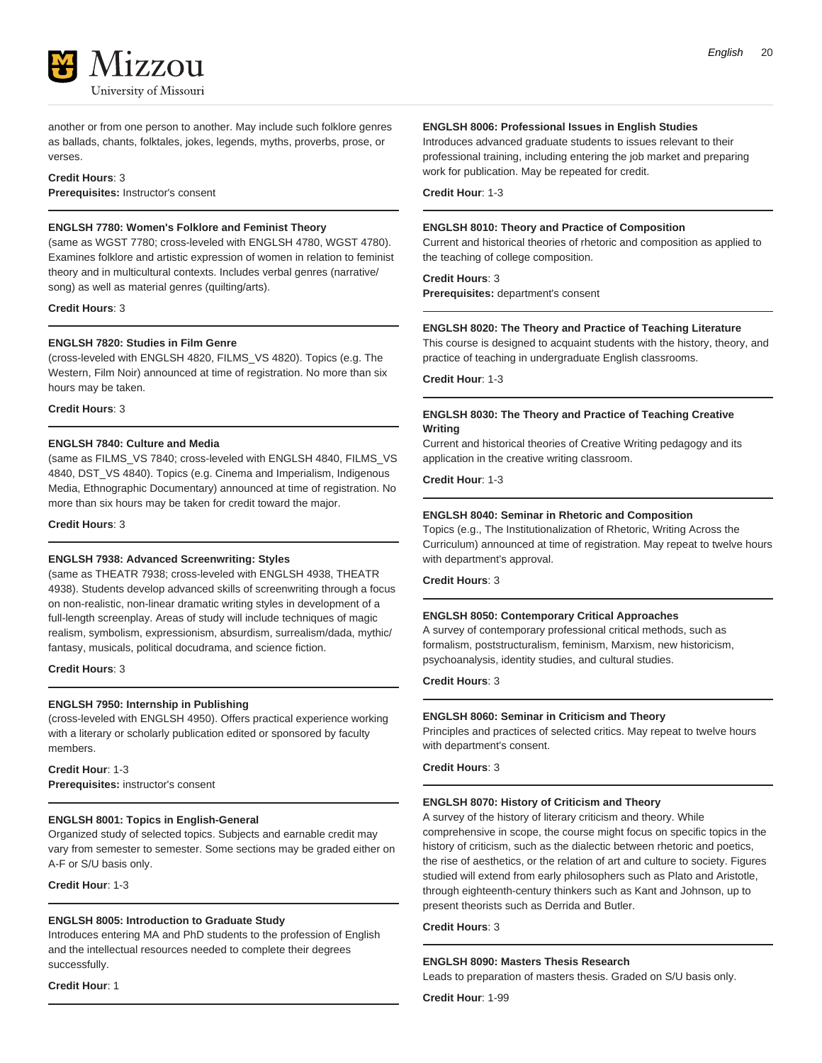

another or from one person to another. May include such folklore genres as ballads, chants, folktales, jokes, legends, myths, proverbs, prose, or verses.

#### **Credit Hours**: 3

**Prerequisites:** Instructor's consent

#### **ENGLSH 7780: Women's Folklore and Feminist Theory**

(same as WGST 7780; cross-leveled with ENGLSH 4780, WGST 4780). Examines folklore and artistic expression of women in relation to feminist theory and in multicultural contexts. Includes verbal genres (narrative/ song) as well as material genres (quilting/arts).

**Credit Hours**: 3

#### **ENGLSH 7820: Studies in Film Genre**

(cross-leveled with ENGLSH 4820, FILMS\_VS 4820). Topics (e.g. The Western, Film Noir) announced at time of registration. No more than six hours may be taken.

**Credit Hours**: 3

#### **ENGLSH 7840: Culture and Media**

(same as FILMS\_VS 7840; cross-leveled with ENGLSH 4840, FILMS\_VS 4840, DST\_VS 4840). Topics (e.g. Cinema and Imperialism, Indigenous Media, Ethnographic Documentary) announced at time of registration. No more than six hours may be taken for credit toward the major.

#### **Credit Hours**: 3

#### **ENGLSH 7938: Advanced Screenwriting: Styles**

(same as THEATR 7938; cross-leveled with ENGLSH 4938, THEATR 4938). Students develop advanced skills of screenwriting through a focus on non-realistic, non-linear dramatic writing styles in development of a full-length screenplay. Areas of study will include techniques of magic realism, symbolism, expressionism, absurdism, surrealism/dada, mythic/ fantasy, musicals, political docudrama, and science fiction.

**Credit Hours**: 3

#### **ENGLSH 7950: Internship in Publishing**

(cross-leveled with ENGLSH 4950). Offers practical experience working with a literary or scholarly publication edited or sponsored by faculty members.

**Credit Hour**: 1-3 **Prerequisites:** instructor's consent

#### **ENGLSH 8001: Topics in English-General**

Organized study of selected topics. Subjects and earnable credit may vary from semester to semester. Some sections may be graded either on A-F or S/U basis only.

**Credit Hour**: 1-3

#### **ENGLSH 8005: Introduction to Graduate Study**

Introduces entering MA and PhD students to the profession of English and the intellectual resources needed to complete their degrees successfully.

**Credit Hour**: 1

#### **ENGLSH 8006: Professional Issues in English Studies**

Introduces advanced graduate students to issues relevant to their professional training, including entering the job market and preparing work for publication. May be repeated for credit.

**Credit Hour**: 1-3

#### **ENGLSH 8010: Theory and Practice of Composition**

Current and historical theories of rhetoric and composition as applied to the teaching of college composition.

#### **Credit Hours**: 3

**Prerequisites:** department's consent

#### **ENGLSH 8020: The Theory and Practice of Teaching Literature**

This course is designed to acquaint students with the history, theory, and practice of teaching in undergraduate English classrooms.

**Credit Hour**: 1-3

#### **ENGLSH 8030: The Theory and Practice of Teaching Creative Writing**

Current and historical theories of Creative Writing pedagogy and its application in the creative writing classroom.

**Credit Hour**: 1-3

#### **ENGLSH 8040: Seminar in Rhetoric and Composition**

Topics (e.g., The Institutionalization of Rhetoric, Writing Across the Curriculum) announced at time of registration. May repeat to twelve hours with department's approval.

**Credit Hours**: 3

#### **ENGLSH 8050: Contemporary Critical Approaches**

A survey of contemporary professional critical methods, such as formalism, poststructuralism, feminism, Marxism, new historicism, psychoanalysis, identity studies, and cultural studies.

**Credit Hours**: 3

#### **ENGLSH 8060: Seminar in Criticism and Theory**

Principles and practices of selected critics. May repeat to twelve hours with department's consent.

**Credit Hours**: 3

#### **ENGLSH 8070: History of Criticism and Theory**

A survey of the history of literary criticism and theory. While comprehensive in scope, the course might focus on specific topics in the history of criticism, such as the dialectic between rhetoric and poetics, the rise of aesthetics, or the relation of art and culture to society. Figures studied will extend from early philosophers such as Plato and Aristotle, through eighteenth-century thinkers such as Kant and Johnson, up to present theorists such as Derrida and Butler.

**Credit Hours**: 3

#### **ENGLSH 8090: Masters Thesis Research**

Leads to preparation of masters thesis. Graded on S/U basis only.

**Credit Hour**: 1-99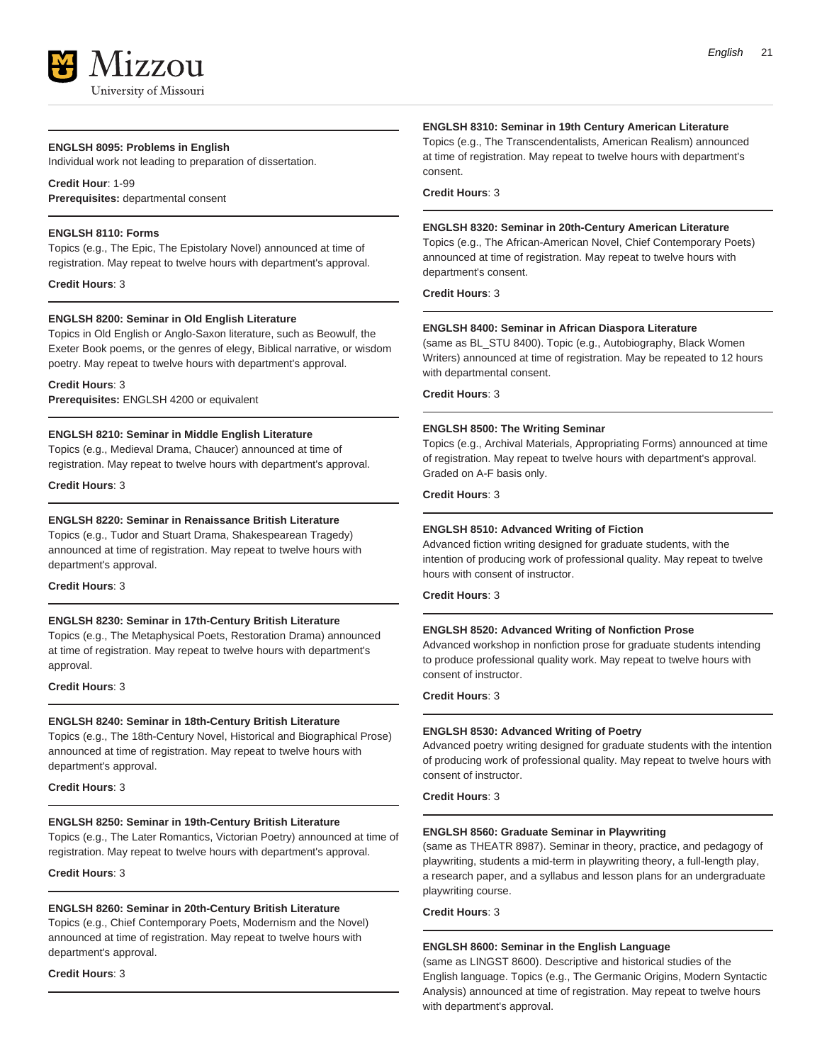#### **ENGLSH 8095: Problems in English**

Individual work not leading to preparation of dissertation.

#### **Credit Hour**: 1-99 **Prerequisites:** departmental consent

#### **ENGLSH 8110: Forms**

Topics (e.g., The Epic, The Epistolary Novel) announced at time of registration. May repeat to twelve hours with department's approval.

**Credit Hours**: 3

#### **ENGLSH 8200: Seminar in Old English Literature**

Topics in Old English or Anglo-Saxon literature, such as Beowulf, the Exeter Book poems, or the genres of elegy, Biblical narrative, or wisdom poetry. May repeat to twelve hours with department's approval.

#### **Credit Hours**: 3

**Prerequisites:** ENGLSH 4200 or equivalent

#### **ENGLSH 8210: Seminar in Middle English Literature**

Topics (e.g., Medieval Drama, Chaucer) announced at time of registration. May repeat to twelve hours with department's approval.

**Credit Hours**: 3

#### **ENGLSH 8220: Seminar in Renaissance British Literature**

Topics (e.g., Tudor and Stuart Drama, Shakespearean Tragedy) announced at time of registration. May repeat to twelve hours with department's approval.

**Credit Hours**: 3

#### **ENGLSH 8230: Seminar in 17th-Century British Literature**

Topics (e.g., The Metaphysical Poets, Restoration Drama) announced at time of registration. May repeat to twelve hours with department's approval.

#### **Credit Hours**: 3

#### **ENGLSH 8240: Seminar in 18th-Century British Literature**

Topics (e.g., The 18th-Century Novel, Historical and Biographical Prose) announced at time of registration. May repeat to twelve hours with department's approval.

**Credit Hours**: 3

#### **ENGLSH 8250: Seminar in 19th-Century British Literature**

Topics (e.g., The Later Romantics, Victorian Poetry) announced at time of registration. May repeat to twelve hours with department's approval.

**Credit Hours**: 3

#### **ENGLSH 8260: Seminar in 20th-Century British Literature**

Topics (e.g., Chief Contemporary Poets, Modernism and the Novel) announced at time of registration. May repeat to twelve hours with department's approval.

**Credit Hours**: 3

#### **ENGLSH 8310: Seminar in 19th Century American Literature**

Topics (e.g., The Transcendentalists, American Realism) announced at time of registration. May repeat to twelve hours with department's consent.

**Credit Hours**: 3

#### **ENGLSH 8320: Seminar in 20th-Century American Literature**

Topics (e.g., The African-American Novel, Chief Contemporary Poets) announced at time of registration. May repeat to twelve hours with department's consent.

**Credit Hours**: 3

#### **ENGLSH 8400: Seminar in African Diaspora Literature**

(same as BL\_STU 8400). Topic (e.g., Autobiography, Black Women Writers) announced at time of registration. May be repeated to 12 hours with departmental consent.

**Credit Hours**: 3

#### **ENGLSH 8500: The Writing Seminar**

Topics (e.g., Archival Materials, Appropriating Forms) announced at time of registration. May repeat to twelve hours with department's approval. Graded on A-F basis only.

**Credit Hours**: 3

#### **ENGLSH 8510: Advanced Writing of Fiction**

Advanced fiction writing designed for graduate students, with the intention of producing work of professional quality. May repeat to twelve hours with consent of instructor.

**Credit Hours**: 3

#### **ENGLSH 8520: Advanced Writing of Nonfiction Prose**

Advanced workshop in nonfiction prose for graduate students intending to produce professional quality work. May repeat to twelve hours with consent of instructor.

**Credit Hours**: 3

#### **ENGLSH 8530: Advanced Writing of Poetry**

Advanced poetry writing designed for graduate students with the intention of producing work of professional quality. May repeat to twelve hours with consent of instructor.

**Credit Hours**: 3

#### **ENGLSH 8560: Graduate Seminar in Playwriting**

(same as THEATR 8987). Seminar in theory, practice, and pedagogy of playwriting, students a mid-term in playwriting theory, a full-length play, a research paper, and a syllabus and lesson plans for an undergraduate playwriting course.

**Credit Hours**: 3

#### **ENGLSH 8600: Seminar in the English Language**

(same as LINGST 8600). Descriptive and historical studies of the English language. Topics (e.g., The Germanic Origins, Modern Syntactic Analysis) announced at time of registration. May repeat to twelve hours with department's approval.